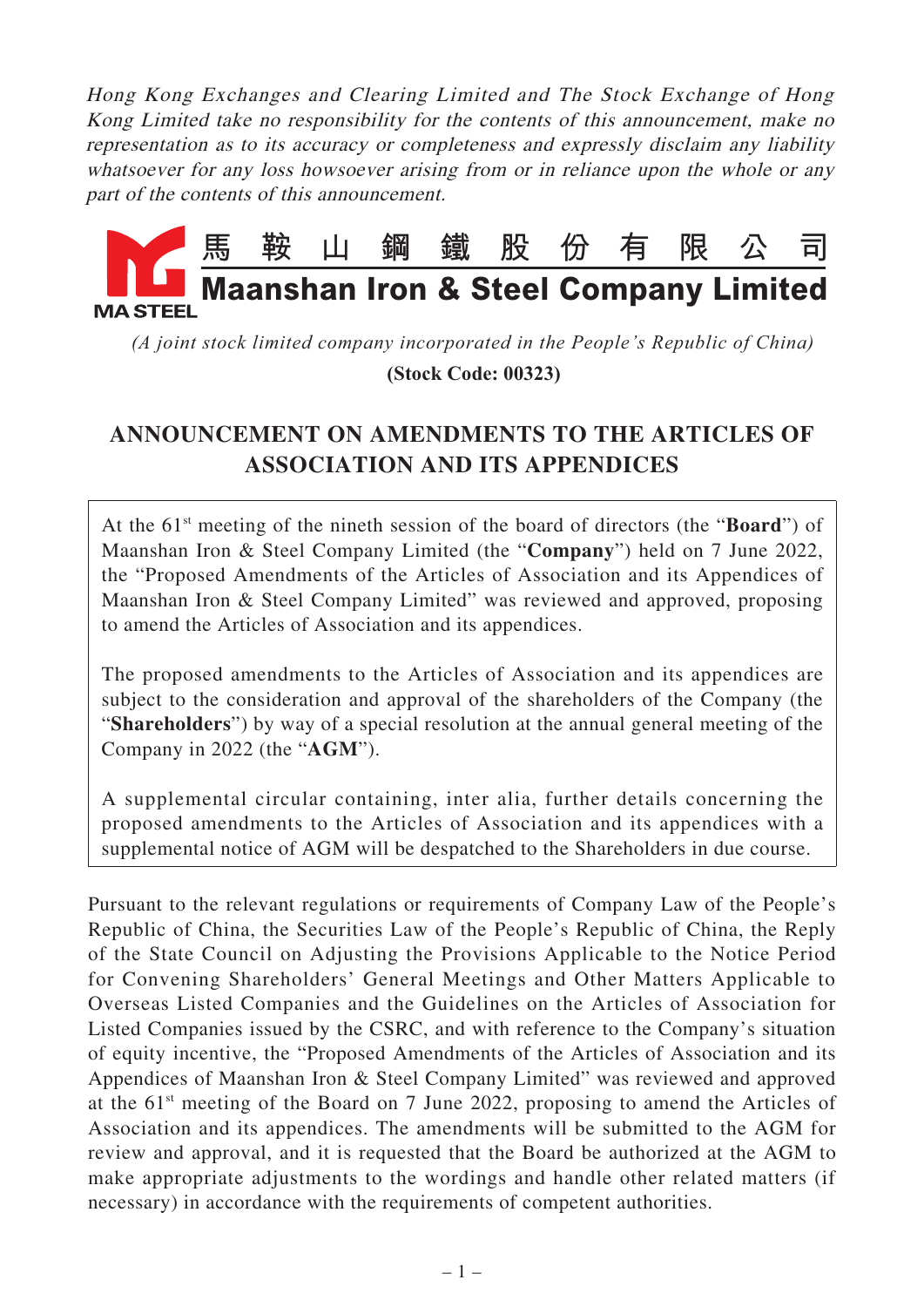Hong Kong Exchanges and Clearing Limited and The Stock Exchange of Hong Kong Limited take no responsibility for the contents of this announcement, make no representation as to its accuracy or completeness and expressly disclaim any liability whatsoever for any loss howsoever arising from or in reliance upon the whole or any part of the contents of this announcement.



*(A joint stock limited company incorporated in the People's Republic of China)*  **(Stock Code: 00323)**

## **ANNOUNCEMENT ON AMENDMENTS TO THE ARTICLES OF ASSOCIATION AND ITS APPENDICES**

At the 61<sup>st</sup> meeting of the nineth session of the board of directors (the "**Board**") of Maanshan Iron & Steel Company Limited (the "**Company**") held on 7 June 2022, the "Proposed Amendments of the Articles of Association and its Appendices of Maanshan Iron & Steel Company Limited" was reviewed and approved, proposing to amend the Articles of Association and its appendices.

The proposed amendments to the Articles of Association and its appendices are subject to the consideration and approval of the shareholders of the Company (the "**Shareholders**") by way of a special resolution at the annual general meeting of the Company in 2022 (the "**AGM**").

A supplemental circular containing, inter alia, further details concerning the proposed amendments to the Articles of Association and its appendices with a supplemental notice of AGM will be despatched to the Shareholders in due course.

Pursuant to the relevant regulations or requirements of Company Law of the People's Republic of China, the Securities Law of the People's Republic of China, the Reply of the State Council on Adjusting the Provisions Applicable to the Notice Period for Convening Shareholders' General Meetings and Other Matters Applicable to Overseas Listed Companies and the Guidelines on the Articles of Association for Listed Companies issued by the CSRC, and with reference to the Company's situation of equity incentive, the "Proposed Amendments of the Articles of Association and its Appendices of Maanshan Iron & Steel Company Limited" was reviewed and approved at the  $61<sup>st</sup>$  meeting of the Board on 7 June 2022, proposing to amend the Articles of Association and its appendices. The amendments will be submitted to the AGM for review and approval, and it is requested that the Board be authorized at the AGM to make appropriate adjustments to the wordings and handle other related matters (if necessary) in accordance with the requirements of competent authorities.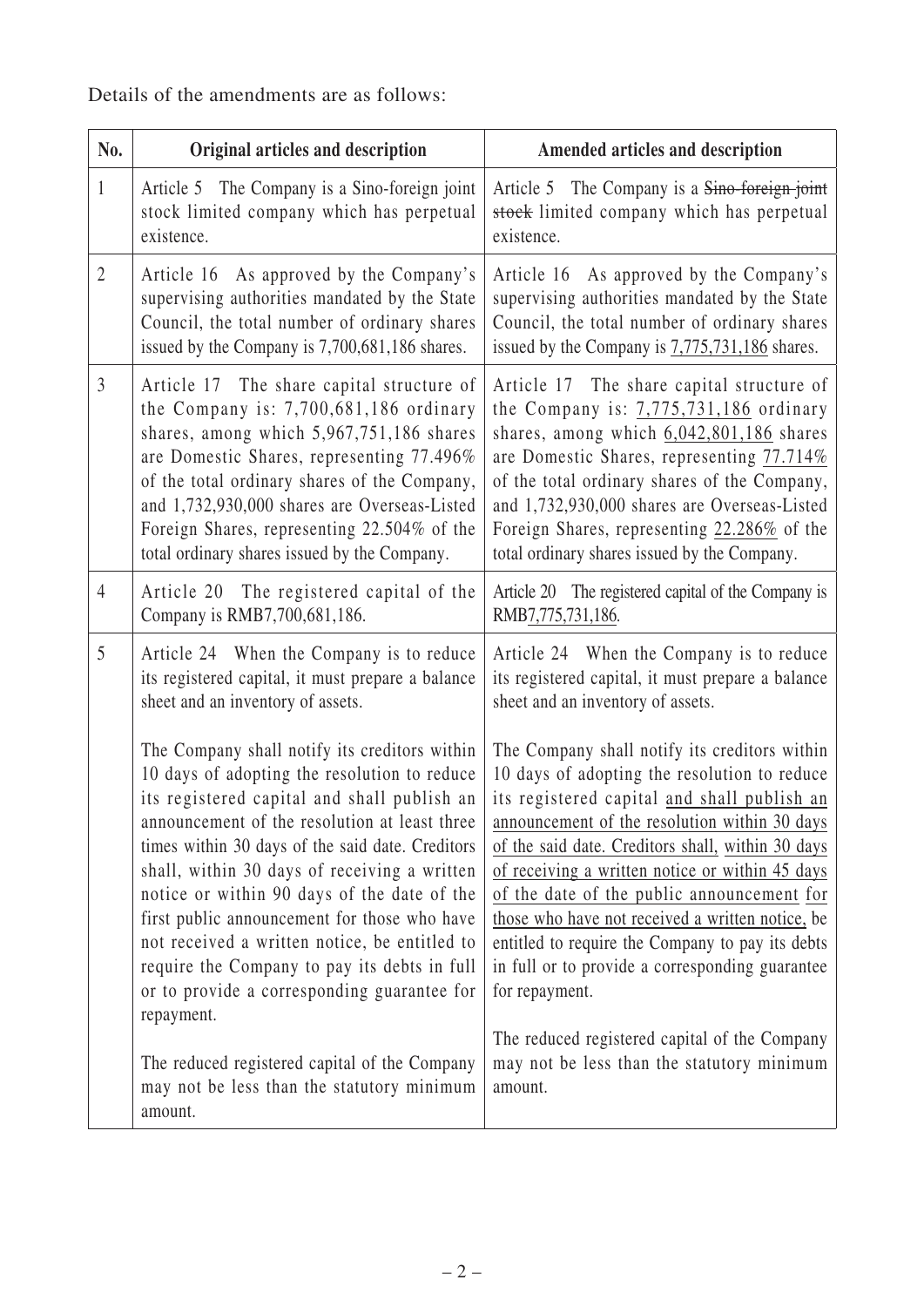Details of the amendments are as follows:

| No.            | Original articles and description                                                                                                                                                                                                                                                                                                                                                                                                                                                                                                                                                                                                                             | Amended articles and description                                                                                                                                                                                                                                                                                                                                                                                                                                                                                                                                                                                                           |
|----------------|---------------------------------------------------------------------------------------------------------------------------------------------------------------------------------------------------------------------------------------------------------------------------------------------------------------------------------------------------------------------------------------------------------------------------------------------------------------------------------------------------------------------------------------------------------------------------------------------------------------------------------------------------------------|--------------------------------------------------------------------------------------------------------------------------------------------------------------------------------------------------------------------------------------------------------------------------------------------------------------------------------------------------------------------------------------------------------------------------------------------------------------------------------------------------------------------------------------------------------------------------------------------------------------------------------------------|
| $\mathbf{1}$   | Article 5 The Company is a Sino-foreign joint<br>stock limited company which has perpetual<br>existence.                                                                                                                                                                                                                                                                                                                                                                                                                                                                                                                                                      | Article 5 The Company is a Sino-foreign joint<br>stock limited company which has perpetual<br>existence.                                                                                                                                                                                                                                                                                                                                                                                                                                                                                                                                   |
| $\overline{2}$ | Article 16 As approved by the Company's<br>supervising authorities mandated by the State<br>Council, the total number of ordinary shares<br>issued by the Company is 7,700,681,186 shares.                                                                                                                                                                                                                                                                                                                                                                                                                                                                    | Article 16 As approved by the Company's<br>supervising authorities mandated by the State<br>Council, the total number of ordinary shares<br>issued by the Company is 7,775,731,186 shares.                                                                                                                                                                                                                                                                                                                                                                                                                                                 |
| $\mathfrak{Z}$ | Article 17 The share capital structure of<br>the Company is: $7,700,681,186$ ordinary<br>shares, among which 5,967,751,186 shares<br>are Domestic Shares, representing 77.496%<br>of the total ordinary shares of the Company,<br>and 1,732,930,000 shares are Overseas-Listed<br>Foreign Shares, representing 22.504% of the<br>total ordinary shares issued by the Company.                                                                                                                                                                                                                                                                                 | Article 17 The share capital structure of<br>the Company is: $7,775,731,186$ ordinary<br>shares, among which $6,042,801,186$ shares<br>are Domestic Shares, representing 77.714%<br>of the total ordinary shares of the Company,<br>and 1,732,930,000 shares are Overseas-Listed<br>Foreign Shares, representing 22.286% of the<br>total ordinary shares issued by the Company.                                                                                                                                                                                                                                                            |
| $\overline{4}$ | Article 20 The registered capital of the<br>Company is RMB7,700,681,186.                                                                                                                                                                                                                                                                                                                                                                                                                                                                                                                                                                                      | Article 20 The registered capital of the Company is<br>RMB7,775,731,186.                                                                                                                                                                                                                                                                                                                                                                                                                                                                                                                                                                   |
| 5              | Article 24 When the Company is to reduce<br>its registered capital, it must prepare a balance<br>sheet and an inventory of assets.                                                                                                                                                                                                                                                                                                                                                                                                                                                                                                                            | Article 24 When the Company is to reduce<br>its registered capital, it must prepare a balance<br>sheet and an inventory of assets.                                                                                                                                                                                                                                                                                                                                                                                                                                                                                                         |
|                | The Company shall notify its creditors within<br>10 days of adopting the resolution to reduce<br>its registered capital and shall publish an<br>announcement of the resolution at least three<br>times within 30 days of the said date. Creditors<br>shall, within 30 days of receiving a written<br>notice or within 90 days of the date of the<br>first public announcement for those who have<br>not received a written notice, be entitled to<br>require the Company to pay its debts in full<br>or to provide a corresponding guarantee for<br>repayment.<br>The reduced registered capital of the Company<br>may not be less than the statutory minimum | The Company shall notify its creditors within<br>10 days of adopting the resolution to reduce<br>its registered capital and shall publish an<br>announcement of the resolution within 30 days<br>of the said date. Creditors shall, within 30 days<br>of receiving a written notice or within 45 days<br>of the date of the public announcement for<br>those who have not received a written notice, be<br>entitled to require the Company to pay its debts<br>in full or to provide a corresponding guarantee<br>for repayment.<br>The reduced registered capital of the Company<br>may not be less than the statutory minimum<br>amount. |
|                | amount.                                                                                                                                                                                                                                                                                                                                                                                                                                                                                                                                                                                                                                                       |                                                                                                                                                                                                                                                                                                                                                                                                                                                                                                                                                                                                                                            |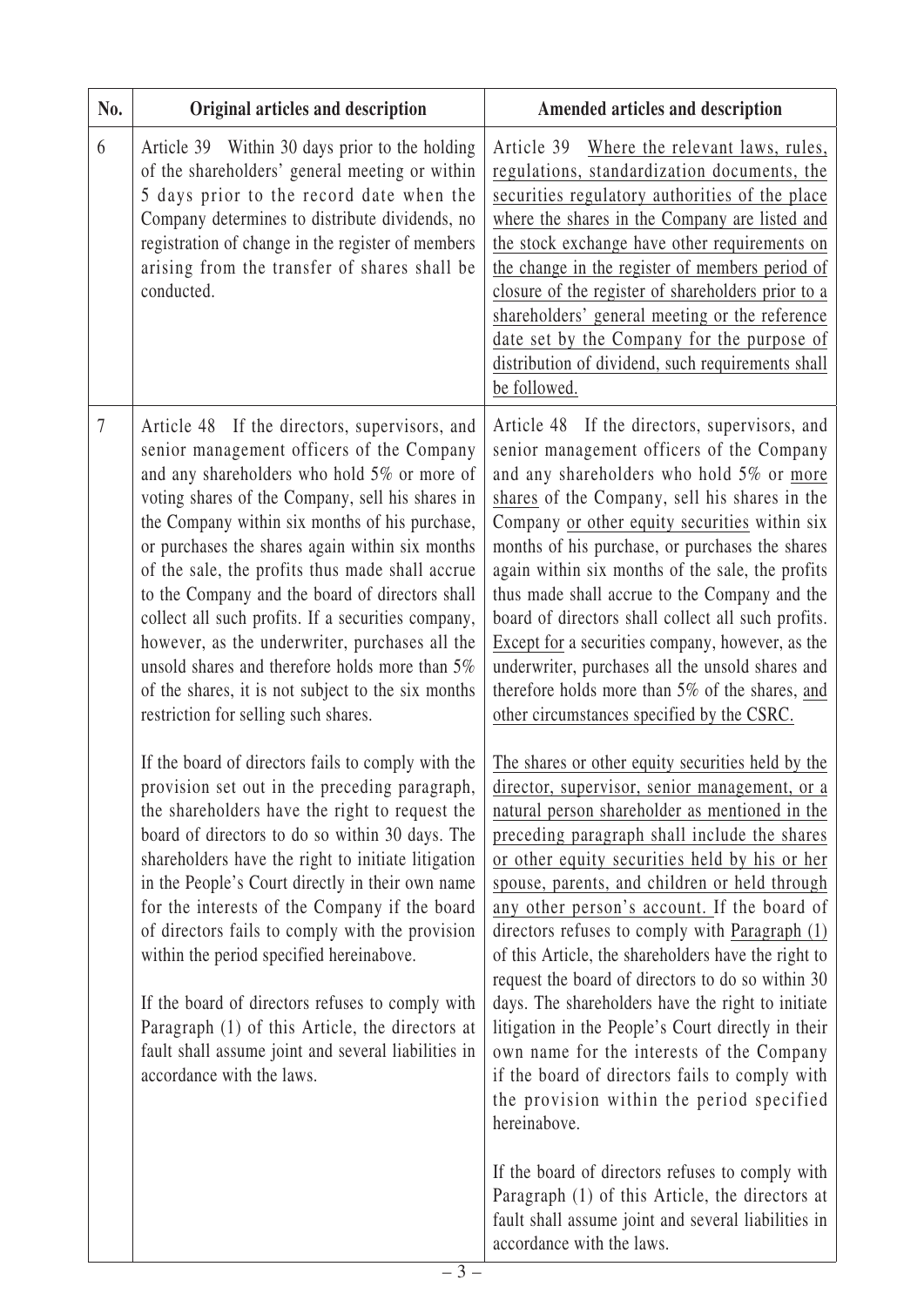| 6<br>Article 39 Within 30 days prior to the holding<br>of the shareholders' general meeting or within<br>5 days prior to the record date when the<br>Company determines to distribute dividends, no<br>registration of change in the register of members<br>arising from the transfer of shares shall be<br>conducted.<br>be followed.<br>$\overline{7}$<br>Article 48 If the directors, supervisors, and<br>senior management officers of the Company<br>and any shareholders who hold 5% or more of<br>voting shares of the Company, sell his shares in<br>the Company within six months of his purchase,<br>or purchases the shares again within six months<br>of the sale, the profits thus made shall accrue<br>to the Company and the board of directors shall<br>collect all such profits. If a securities company,<br>however, as the underwriter, purchases all the<br>unsold shares and therefore holds more than 5%<br>of the shares, it is not subject to the six months<br>restriction for selling such shares.<br>other circumstances specified by the CSRC.<br>If the board of directors fails to comply with the<br>provision set out in the preceding paragraph,<br>the shareholders have the right to request the<br>board of directors to do so within 30 days. The<br>shareholders have the right to initiate litigation<br>in the People's Court directly in their own name<br>for the interests of the Company if the board<br>of directors fails to comply with the provision<br>within the period specified hereinabove.<br>If the board of directors refuses to comply with<br>Paragraph (1) of this Article, the directors at<br>fault shall assume joint and several liabilities in<br>accordance with the laws.<br>hereinabove. | No. | Original articles and description | Amended articles and description                                                                                                                                                                                                                                                                                                                                                                                                                                                                                                                                                                                                                                                                                                                                                                                                                                                                                                           |
|-------------------------------------------------------------------------------------------------------------------------------------------------------------------------------------------------------------------------------------------------------------------------------------------------------------------------------------------------------------------------------------------------------------------------------------------------------------------------------------------------------------------------------------------------------------------------------------------------------------------------------------------------------------------------------------------------------------------------------------------------------------------------------------------------------------------------------------------------------------------------------------------------------------------------------------------------------------------------------------------------------------------------------------------------------------------------------------------------------------------------------------------------------------------------------------------------------------------------------------------------------------------------------------------------------------------------------------------------------------------------------------------------------------------------------------------------------------------------------------------------------------------------------------------------------------------------------------------------------------------------------------------------------------------------------------------------------------------------------------------------------------|-----|-----------------------------------|--------------------------------------------------------------------------------------------------------------------------------------------------------------------------------------------------------------------------------------------------------------------------------------------------------------------------------------------------------------------------------------------------------------------------------------------------------------------------------------------------------------------------------------------------------------------------------------------------------------------------------------------------------------------------------------------------------------------------------------------------------------------------------------------------------------------------------------------------------------------------------------------------------------------------------------------|
|                                                                                                                                                                                                                                                                                                                                                                                                                                                                                                                                                                                                                                                                                                                                                                                                                                                                                                                                                                                                                                                                                                                                                                                                                                                                                                                                                                                                                                                                                                                                                                                                                                                                                                                                                             |     |                                   | Article 39 Where the relevant laws, rules,<br>regulations, standardization documents, the<br>securities regulatory authorities of the place<br>where the shares in the Company are listed and<br>the stock exchange have other requirements on<br>the change in the register of members period of<br>closure of the register of shareholders prior to a<br>shareholders' general meeting or the reference<br>date set by the Company for the purpose of<br>distribution of dividend, such requirements shall                                                                                                                                                                                                                                                                                                                                                                                                                               |
|                                                                                                                                                                                                                                                                                                                                                                                                                                                                                                                                                                                                                                                                                                                                                                                                                                                                                                                                                                                                                                                                                                                                                                                                                                                                                                                                                                                                                                                                                                                                                                                                                                                                                                                                                             |     |                                   | Article 48 If the directors, supervisors, and<br>senior management officers of the Company<br>and any shareholders who hold 5% or more<br>shares of the Company, sell his shares in the<br>Company or other equity securities within six<br>months of his purchase, or purchases the shares<br>again within six months of the sale, the profits<br>thus made shall accrue to the Company and the<br>board of directors shall collect all such profits.<br>Except for a securities company, however, as the<br>underwriter, purchases all the unsold shares and<br>therefore holds more than 5% of the shares, and                                                                                                                                                                                                                                                                                                                          |
|                                                                                                                                                                                                                                                                                                                                                                                                                                                                                                                                                                                                                                                                                                                                                                                                                                                                                                                                                                                                                                                                                                                                                                                                                                                                                                                                                                                                                                                                                                                                                                                                                                                                                                                                                             |     |                                   | The shares or other equity securities held by the<br>director, supervisor, senior management, or a<br>natural person shareholder as mentioned in the<br>preceding paragraph shall include the shares<br>or other equity securities held by his or her<br>spouse, parents, and children or held through<br>any other person's account. If the board of<br>directors refuses to comply with Paragraph $(1)$<br>of this Article, the shareholders have the right to<br>request the board of directors to do so within 30<br>days. The shareholders have the right to initiate<br>litigation in the People's Court directly in their<br>own name for the interests of the Company<br>if the board of directors fails to comply with<br>the provision within the period specified<br>If the board of directors refuses to comply with<br>Paragraph (1) of this Article, the directors at<br>fault shall assume joint and several liabilities in |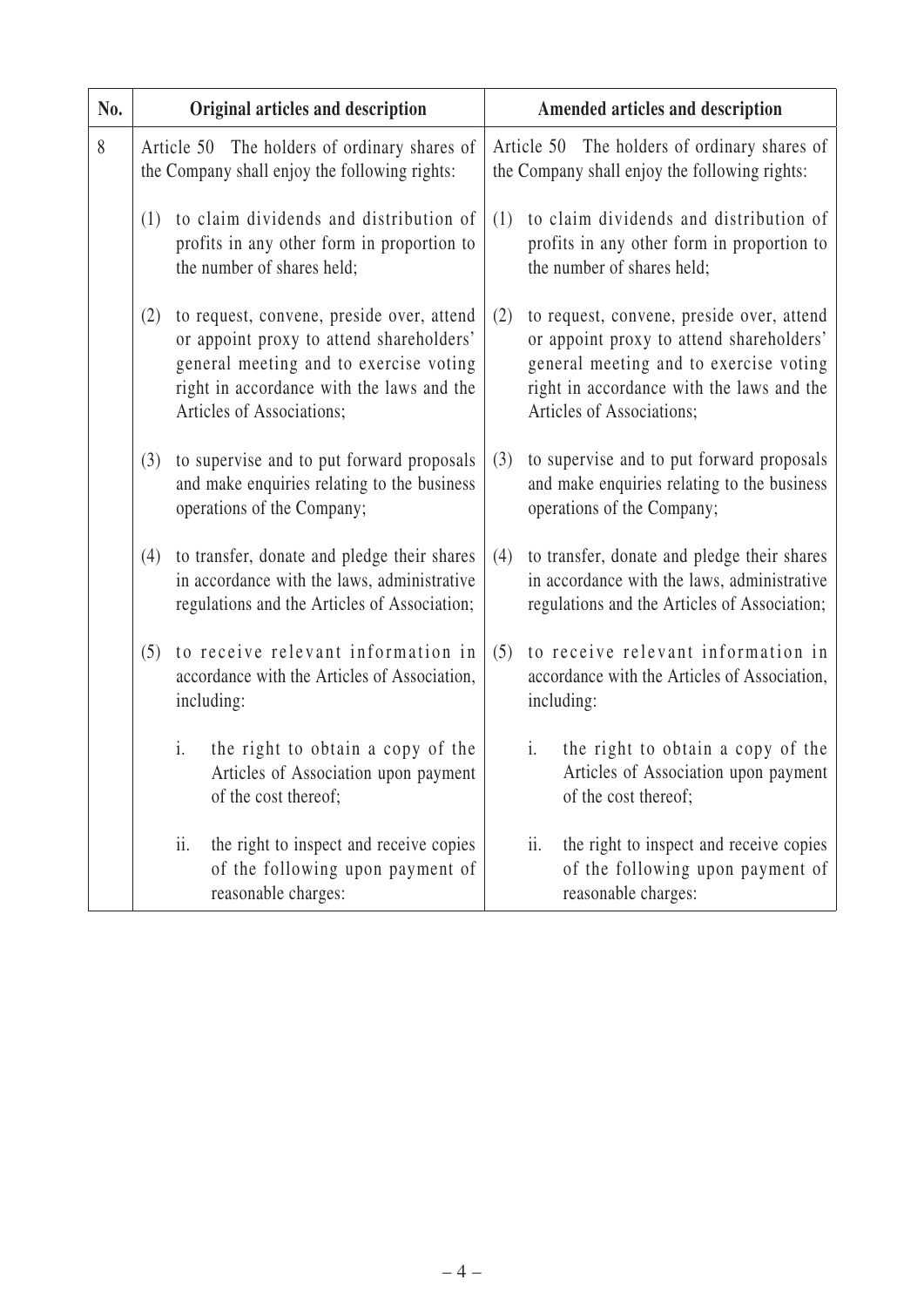| No. | Original articles and description                                                             |                                                                                                                                                                              |     |                | Amended articles and description                                                                                                                                                                          |
|-----|-----------------------------------------------------------------------------------------------|------------------------------------------------------------------------------------------------------------------------------------------------------------------------------|-----|----------------|-----------------------------------------------------------------------------------------------------------------------------------------------------------------------------------------------------------|
| 8   | Article 50 The holders of ordinary shares of<br>the Company shall enjoy the following rights: |                                                                                                                                                                              |     |                | Article 50 The holders of ordinary shares of<br>the Company shall enjoy the following rights:                                                                                                             |
|     | (1)<br>the number of shares held;                                                             | to claim dividends and distribution of<br>profits in any other form in proportion to                                                                                         | (1) |                | to claim dividends and distribution of<br>profits in any other form in proportion to<br>the number of shares held;                                                                                        |
|     | (2)<br>Articles of Associations;                                                              | to request, convene, preside over, attend<br>or appoint proxy to attend shareholders'<br>general meeting and to exercise voting<br>right in accordance with the laws and the | (2) |                | to request, convene, preside over, attend<br>or appoint proxy to attend shareholders'<br>general meeting and to exercise voting<br>right in accordance with the laws and the<br>Articles of Associations; |
|     | (3)<br>operations of the Company;                                                             | to supervise and to put forward proposals<br>and make enquiries relating to the business                                                                                     | (3) |                | to supervise and to put forward proposals<br>and make enquiries relating to the business<br>operations of the Company;                                                                                    |
|     | (4)                                                                                           | to transfer, donate and pledge their shares<br>in accordance with the laws, administrative<br>regulations and the Articles of Association;                                   | (4) |                | to transfer, donate and pledge their shares<br>in accordance with the laws, administrative<br>regulations and the Articles of Association;                                                                |
|     | (5)<br>including:                                                                             | to receive relevant information in<br>accordance with the Articles of Association,                                                                                           | (5) | including:     | to receive relevant information in<br>accordance with the Articles of Association,                                                                                                                        |
|     | $i$ .<br>of the cost thereof;                                                                 | the right to obtain a copy of the<br>Articles of Association upon payment                                                                                                    |     | $\mathbf{i}$ . | the right to obtain a copy of the<br>Articles of Association upon payment<br>of the cost thereof;                                                                                                         |
|     | ii.<br>reasonable charges:                                                                    | the right to inspect and receive copies<br>of the following upon payment of                                                                                                  |     | ii.            | the right to inspect and receive copies<br>of the following upon payment of<br>reasonable charges:                                                                                                        |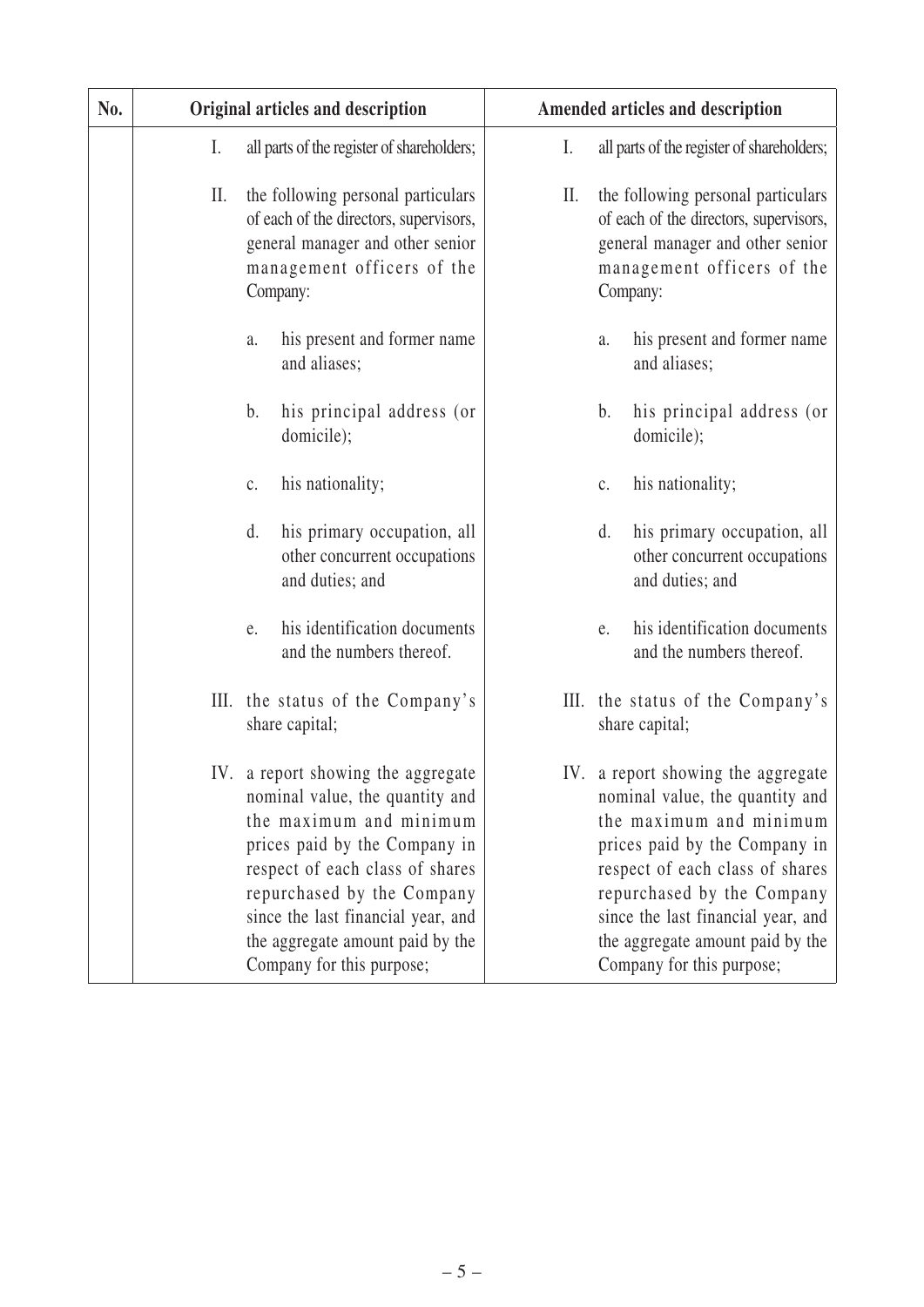| No. |     | Original articles and description                                                                                                                                                                                                                                                                         |    | Amended articles and description                                                                                                                                                                                                                                                                          |
|-----|-----|-----------------------------------------------------------------------------------------------------------------------------------------------------------------------------------------------------------------------------------------------------------------------------------------------------------|----|-----------------------------------------------------------------------------------------------------------------------------------------------------------------------------------------------------------------------------------------------------------------------------------------------------------|
|     | I.  | all parts of the register of shareholders;                                                                                                                                                                                                                                                                | I. | all parts of the register of shareholders;                                                                                                                                                                                                                                                                |
|     | II. | the following personal particulars<br>of each of the directors, supervisors,<br>general manager and other senior<br>management officers of the<br>Company:                                                                                                                                                | П. | the following personal particulars<br>of each of the directors, supervisors,<br>general manager and other senior<br>management officers of the<br>Company:                                                                                                                                                |
|     |     | his present and former name<br>a.<br>and aliases;                                                                                                                                                                                                                                                         |    | his present and former name<br>a.<br>and aliases;                                                                                                                                                                                                                                                         |
|     |     | his principal address (or<br>b.<br>domicile);                                                                                                                                                                                                                                                             |    | b.<br>his principal address (or<br>domicile);                                                                                                                                                                                                                                                             |
|     |     | his nationality;<br>$\mathbf{C}$ .                                                                                                                                                                                                                                                                        |    | his nationality;<br>$\mathbf{C}$ .                                                                                                                                                                                                                                                                        |
|     |     | d.<br>his primary occupation, all<br>other concurrent occupations<br>and duties; and                                                                                                                                                                                                                      |    | his primary occupation, all<br>d.<br>other concurrent occupations<br>and duties; and                                                                                                                                                                                                                      |
|     |     | his identification documents<br>e.<br>and the numbers thereof.                                                                                                                                                                                                                                            |    | his identification documents<br>e.<br>and the numbers thereof.                                                                                                                                                                                                                                            |
|     |     | III. the status of the Company's<br>share capital;                                                                                                                                                                                                                                                        |    | III. the status of the Company's<br>share capital;                                                                                                                                                                                                                                                        |
|     |     | IV. a report showing the aggregate<br>nominal value, the quantity and<br>the maximum and minimum<br>prices paid by the Company in<br>respect of each class of shares<br>repurchased by the Company<br>since the last financial year, and<br>the aggregate amount paid by the<br>Company for this purpose; |    | IV. a report showing the aggregate<br>nominal value, the quantity and<br>the maximum and minimum<br>prices paid by the Company in<br>respect of each class of shares<br>repurchased by the Company<br>since the last financial year, and<br>the aggregate amount paid by the<br>Company for this purpose; |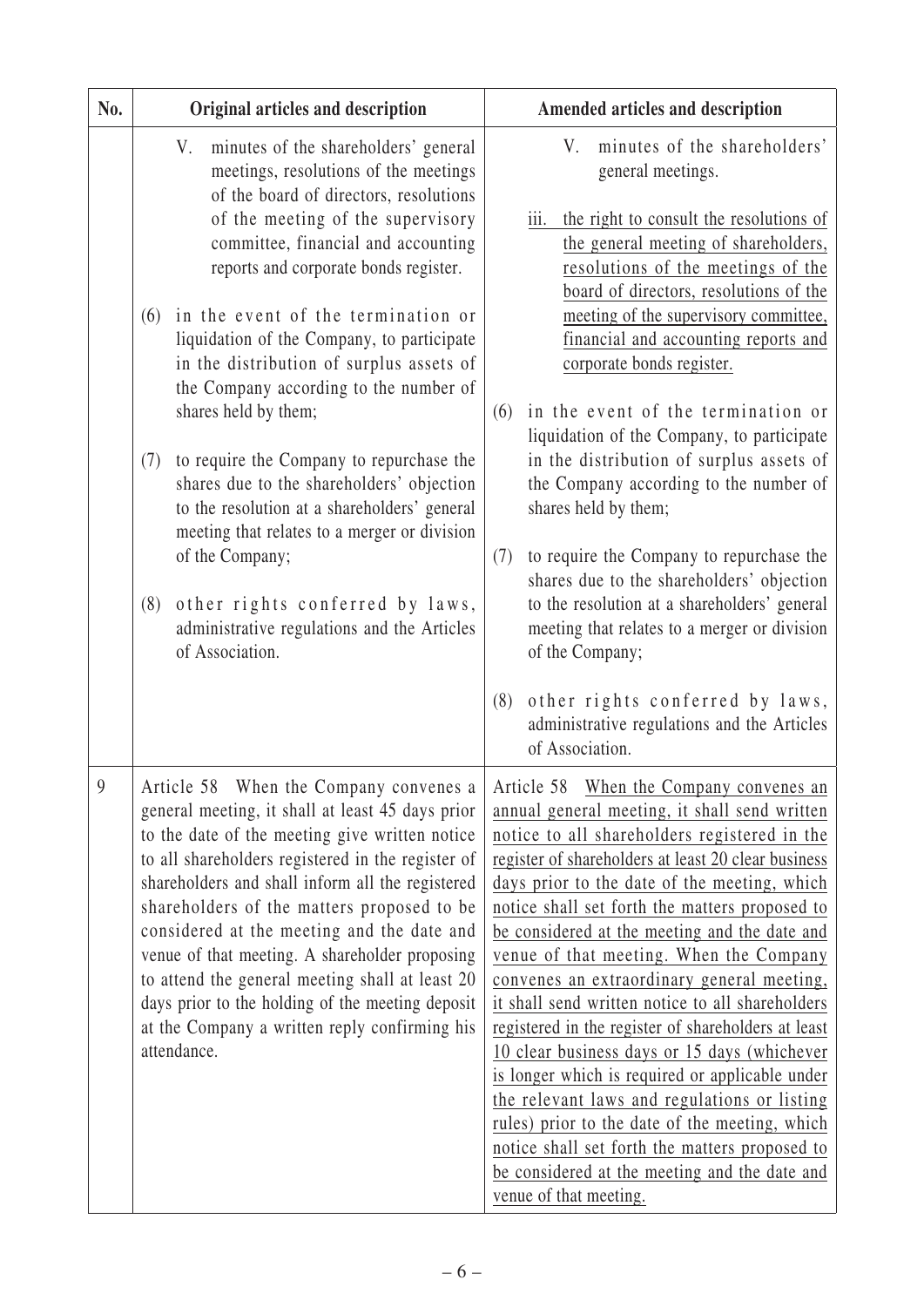| No. | Original articles and description                                                                                                                                                                                                                                                                                                                                                                                                                                                                                                                                                                                                                                                                                                                                                          | Amended articles and description                                                                                                                                                                                                                                                                                                                                                                                                                                                                                                                                                                                                                                                                                                                                                                                                                                                                            |
|-----|--------------------------------------------------------------------------------------------------------------------------------------------------------------------------------------------------------------------------------------------------------------------------------------------------------------------------------------------------------------------------------------------------------------------------------------------------------------------------------------------------------------------------------------------------------------------------------------------------------------------------------------------------------------------------------------------------------------------------------------------------------------------------------------------|-------------------------------------------------------------------------------------------------------------------------------------------------------------------------------------------------------------------------------------------------------------------------------------------------------------------------------------------------------------------------------------------------------------------------------------------------------------------------------------------------------------------------------------------------------------------------------------------------------------------------------------------------------------------------------------------------------------------------------------------------------------------------------------------------------------------------------------------------------------------------------------------------------------|
|     | minutes of the shareholders' general<br>V.<br>meetings, resolutions of the meetings<br>of the board of directors, resolutions<br>of the meeting of the supervisory<br>committee, financial and accounting<br>reports and corporate bonds register.<br>in the event of the termination or<br>(6)<br>liquidation of the Company, to participate<br>in the distribution of surplus assets of<br>the Company according to the number of<br>shares held by them;<br>to require the Company to repurchase the<br>(7)<br>shares due to the shareholders' objection<br>to the resolution at a shareholders' general<br>meeting that relates to a merger or division<br>of the Company;<br>(8)<br>other rights conferred by laws,<br>administrative regulations and the Articles<br>of Association. | minutes of the shareholders'<br>V.<br>general meetings.<br>the right to consult the resolutions of<br>$\overline{111}$ .<br>the general meeting of shareholders,<br>resolutions of the meetings of the<br>board of directors, resolutions of the<br>meeting of the supervisory committee,<br>financial and accounting reports and<br>corporate bonds register.<br>in the event of the termination or<br>(6)<br>liquidation of the Company, to participate<br>in the distribution of surplus assets of<br>the Company according to the number of<br>shares held by them;<br>to require the Company to repurchase the<br>(7)<br>shares due to the shareholders' objection<br>to the resolution at a shareholders' general<br>meeting that relates to a merger or division<br>of the Company;<br>other rights conferred by laws,<br>(8)<br>administrative regulations and the Articles                         |
| 9   | Article 58 When the Company convenes a<br>general meeting, it shall at least 45 days prior<br>to the date of the meeting give written notice<br>to all shareholders registered in the register of<br>shareholders and shall inform all the registered<br>shareholders of the matters proposed to be<br>considered at the meeting and the date and<br>venue of that meeting. A shareholder proposing<br>to attend the general meeting shall at least 20<br>days prior to the holding of the meeting deposit<br>at the Company a written reply confirming his<br>attendance.                                                                                                                                                                                                                 | of Association.<br>Article 58 When the Company convenes an<br>annual general meeting, it shall send written<br>notice to all shareholders registered in the<br>register of shareholders at least 20 clear business<br>days prior to the date of the meeting, which<br>notice shall set forth the matters proposed to<br>be considered at the meeting and the date and<br>venue of that meeting. When the Company<br>convenes an extraordinary general meeting,<br>it shall send written notice to all shareholders<br>registered in the register of shareholders at least<br>10 clear business days or 15 days (whichever<br>is longer which is required or applicable under<br>the relevant laws and regulations or listing<br>rules) prior to the date of the meeting, which<br>notice shall set forth the matters proposed to<br>be considered at the meeting and the date and<br>venue of that meeting. |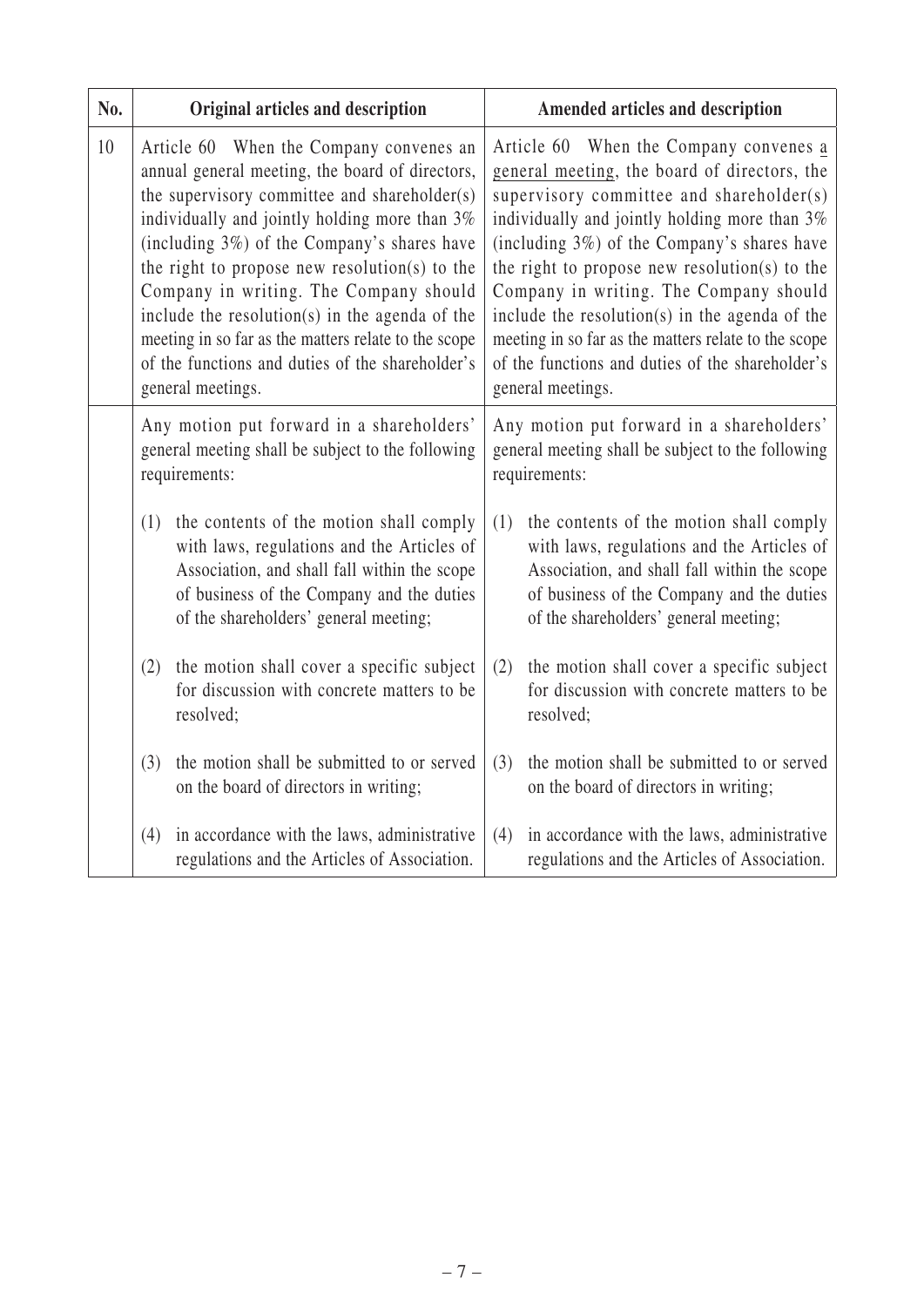| No. | Original articles and description                                                                                                                                                                                                                                                                                                                                                                                                                                                                                        | Amended articles and description                                                                                                                                                                                                                                                                                                                                                                                                                                                                                 |
|-----|--------------------------------------------------------------------------------------------------------------------------------------------------------------------------------------------------------------------------------------------------------------------------------------------------------------------------------------------------------------------------------------------------------------------------------------------------------------------------------------------------------------------------|------------------------------------------------------------------------------------------------------------------------------------------------------------------------------------------------------------------------------------------------------------------------------------------------------------------------------------------------------------------------------------------------------------------------------------------------------------------------------------------------------------------|
| 10  | Article 60 When the Company convenes an<br>annual general meeting, the board of directors,<br>the supervisory committee and shareholder(s)<br>individually and jointly holding more than 3%<br>(including 3%) of the Company's shares have<br>the right to propose new resolution(s) to the<br>Company in writing. The Company should<br>include the resolution(s) in the agenda of the<br>meeting in so far as the matters relate to the scope<br>of the functions and duties of the shareholder's<br>general meetings. | Article 60 When the Company convenes a<br>general meeting, the board of directors, the<br>supervisory committee and shareholder(s)<br>individually and jointly holding more than 3%<br>(including 3%) of the Company's shares have<br>the right to propose new resolution(s) to the<br>Company in writing. The Company should<br>include the resolution(s) in the agenda of the<br>meeting in so far as the matters relate to the scope<br>of the functions and duties of the shareholder's<br>general meetings. |
|     | Any motion put forward in a shareholders'<br>general meeting shall be subject to the following<br>requirements:                                                                                                                                                                                                                                                                                                                                                                                                          | Any motion put forward in a shareholders'<br>general meeting shall be subject to the following<br>requirements:                                                                                                                                                                                                                                                                                                                                                                                                  |
|     | (1)<br>the contents of the motion shall comply<br>with laws, regulations and the Articles of<br>Association, and shall fall within the scope<br>of business of the Company and the duties<br>of the shareholders' general meeting;                                                                                                                                                                                                                                                                                       | (1)<br>the contents of the motion shall comply<br>with laws, regulations and the Articles of<br>Association, and shall fall within the scope<br>of business of the Company and the duties<br>of the shareholders' general meeting;                                                                                                                                                                                                                                                                               |
|     | the motion shall cover a specific subject<br>(2)<br>for discussion with concrete matters to be<br>resolved;                                                                                                                                                                                                                                                                                                                                                                                                              | the motion shall cover a specific subject<br>(2)<br>for discussion with concrete matters to be<br>resolved;                                                                                                                                                                                                                                                                                                                                                                                                      |
|     | the motion shall be submitted to or served<br>(3)<br>on the board of directors in writing;                                                                                                                                                                                                                                                                                                                                                                                                                               | the motion shall be submitted to or served<br>(3)<br>on the board of directors in writing;                                                                                                                                                                                                                                                                                                                                                                                                                       |
|     | in accordance with the laws, administrative<br>(4)<br>regulations and the Articles of Association.                                                                                                                                                                                                                                                                                                                                                                                                                       | in accordance with the laws, administrative<br>(4)<br>regulations and the Articles of Association.                                                                                                                                                                                                                                                                                                                                                                                                               |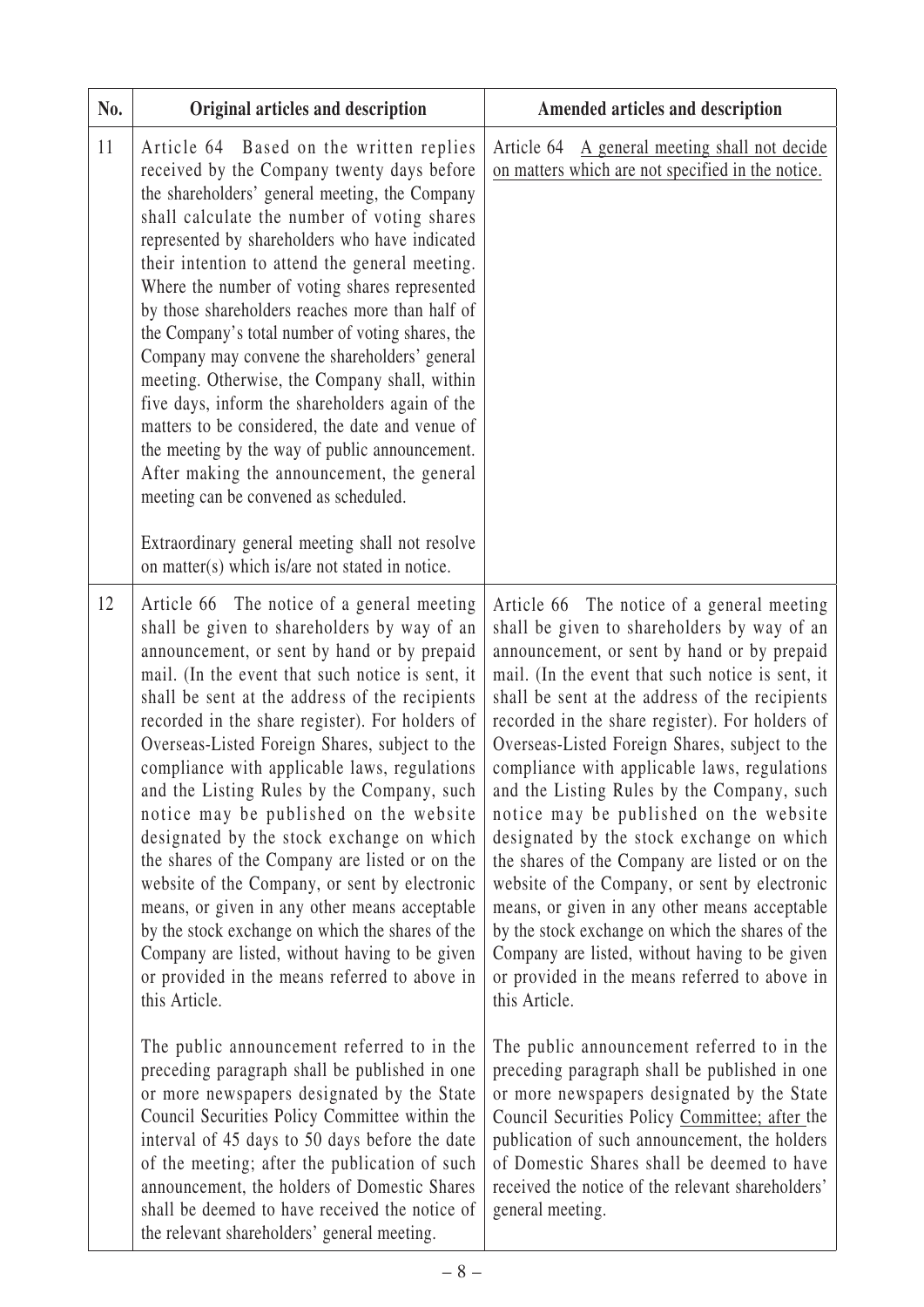| No. | Original articles and description                                                                                                                                                                                                                                                                                                                                                                                                                                                                                                                                                                                                                                                                                                                                                                                                                                                                                                                                                                                                                                                                                                                                                                                                                                                                                       | Amended articles and description                                                                                                                                                                                                                                                                                                                                                                                                                                                                                                                                                                                                                                                                                                                                                                                                                                                                                                                                                                                                                                                                                                                                                                                                            |
|-----|-------------------------------------------------------------------------------------------------------------------------------------------------------------------------------------------------------------------------------------------------------------------------------------------------------------------------------------------------------------------------------------------------------------------------------------------------------------------------------------------------------------------------------------------------------------------------------------------------------------------------------------------------------------------------------------------------------------------------------------------------------------------------------------------------------------------------------------------------------------------------------------------------------------------------------------------------------------------------------------------------------------------------------------------------------------------------------------------------------------------------------------------------------------------------------------------------------------------------------------------------------------------------------------------------------------------------|---------------------------------------------------------------------------------------------------------------------------------------------------------------------------------------------------------------------------------------------------------------------------------------------------------------------------------------------------------------------------------------------------------------------------------------------------------------------------------------------------------------------------------------------------------------------------------------------------------------------------------------------------------------------------------------------------------------------------------------------------------------------------------------------------------------------------------------------------------------------------------------------------------------------------------------------------------------------------------------------------------------------------------------------------------------------------------------------------------------------------------------------------------------------------------------------------------------------------------------------|
| 11  | Article 64 Based on the written replies<br>received by the Company twenty days before<br>the shareholders' general meeting, the Company<br>shall calculate the number of voting shares<br>represented by shareholders who have indicated<br>their intention to attend the general meeting.<br>Where the number of voting shares represented<br>by those shareholders reaches more than half of<br>the Company's total number of voting shares, the<br>Company may convene the shareholders' general<br>meeting. Otherwise, the Company shall, within<br>five days, inform the shareholders again of the<br>matters to be considered, the date and venue of<br>the meeting by the way of public announcement.<br>After making the announcement, the general<br>meeting can be convened as scheduled.<br>Extraordinary general meeting shall not resolve<br>on matter(s) which is/are not stated in notice.                                                                                                                                                                                                                                                                                                                                                                                                               | Article 64 A general meeting shall not decide<br>on matters which are not specified in the notice.                                                                                                                                                                                                                                                                                                                                                                                                                                                                                                                                                                                                                                                                                                                                                                                                                                                                                                                                                                                                                                                                                                                                          |
| 12  | Article 66 The notice of a general meeting<br>shall be given to shareholders by way of an<br>announcement, or sent by hand or by prepaid<br>mail. (In the event that such notice is sent, it<br>shall be sent at the address of the recipients<br>recorded in the share register). For holders of<br>Overseas-Listed Foreign Shares, subject to the<br>compliance with applicable laws, regulations<br>and the Listing Rules by the Company, such<br>notice may be published on the website<br>designated by the stock exchange on which<br>the shares of the Company are listed or on the<br>website of the Company, or sent by electronic<br>means, or given in any other means acceptable<br>by the stock exchange on which the shares of the<br>Company are listed, without having to be given<br>or provided in the means referred to above in<br>this Article.<br>The public announcement referred to in the<br>preceding paragraph shall be published in one<br>or more newspapers designated by the State<br>Council Securities Policy Committee within the<br>interval of 45 days to 50 days before the date<br>of the meeting; after the publication of such<br>announcement, the holders of Domestic Shares<br>shall be deemed to have received the notice of<br>the relevant shareholders' general meeting. | Article 66 The notice of a general meeting<br>shall be given to shareholders by way of an<br>announcement, or sent by hand or by prepaid<br>mail. (In the event that such notice is sent, it<br>shall be sent at the address of the recipients<br>recorded in the share register). For holders of<br>Overseas-Listed Foreign Shares, subject to the<br>compliance with applicable laws, regulations<br>and the Listing Rules by the Company, such<br>notice may be published on the website<br>designated by the stock exchange on which<br>the shares of the Company are listed or on the<br>website of the Company, or sent by electronic<br>means, or given in any other means acceptable<br>by the stock exchange on which the shares of the<br>Company are listed, without having to be given<br>or provided in the means referred to above in<br>this Article.<br>The public announcement referred to in the<br>preceding paragraph shall be published in one<br>or more newspapers designated by the State<br>Council Securities Policy Committee; after the<br>publication of such announcement, the holders<br>of Domestic Shares shall be deemed to have<br>received the notice of the relevant shareholders'<br>general meeting. |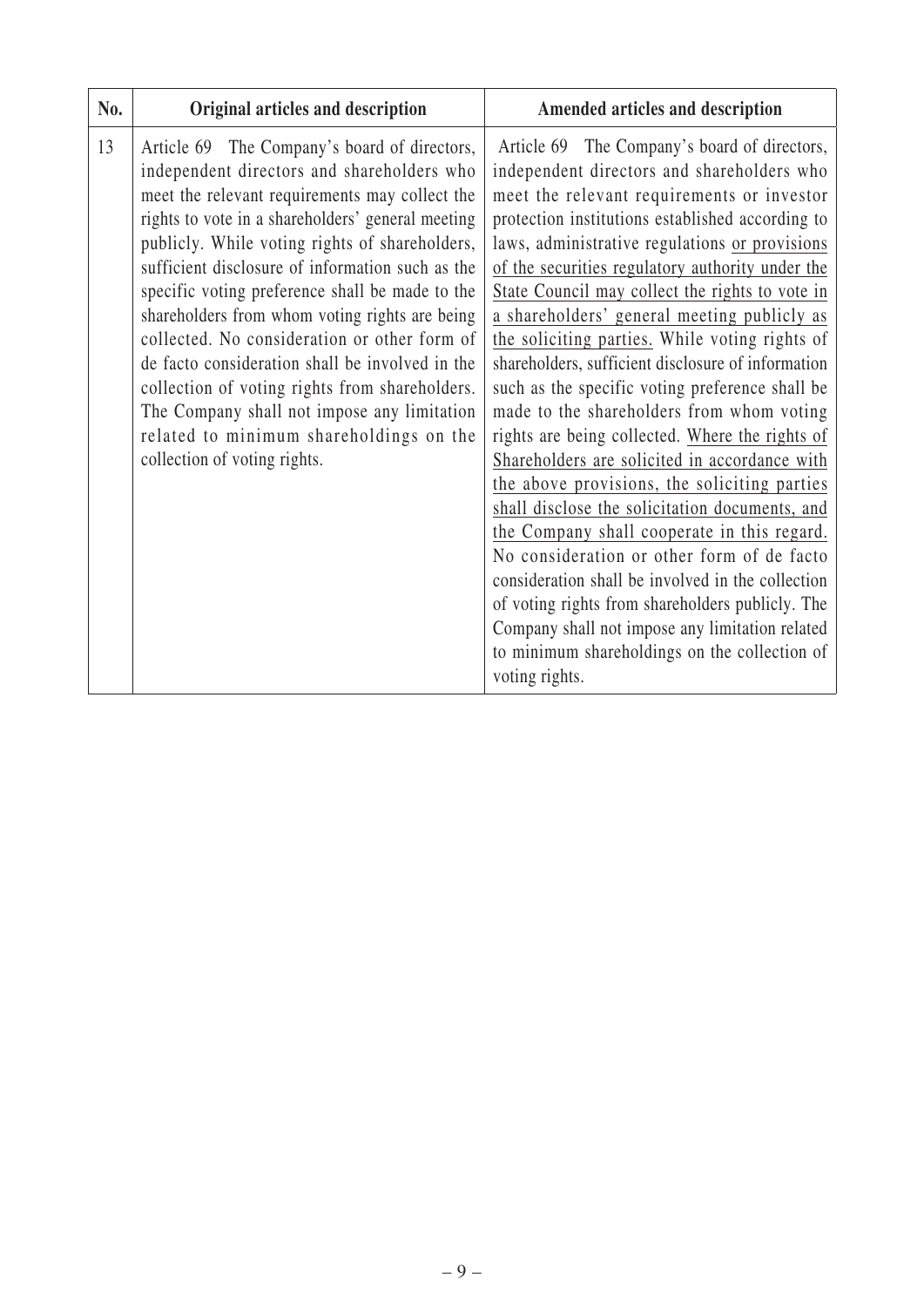| No. | Original articles and description                                                                                                                                                                                                                                                                                                                                                                                                                                                                                                                                                                                                                                                           | Amended articles and description                                                                                                                                                                                                                                                                                                                                                                                                                                                                                                                                                                                                                                                                                                                                                                                                                                                                                                                                                                                                                                                                                                               |
|-----|---------------------------------------------------------------------------------------------------------------------------------------------------------------------------------------------------------------------------------------------------------------------------------------------------------------------------------------------------------------------------------------------------------------------------------------------------------------------------------------------------------------------------------------------------------------------------------------------------------------------------------------------------------------------------------------------|------------------------------------------------------------------------------------------------------------------------------------------------------------------------------------------------------------------------------------------------------------------------------------------------------------------------------------------------------------------------------------------------------------------------------------------------------------------------------------------------------------------------------------------------------------------------------------------------------------------------------------------------------------------------------------------------------------------------------------------------------------------------------------------------------------------------------------------------------------------------------------------------------------------------------------------------------------------------------------------------------------------------------------------------------------------------------------------------------------------------------------------------|
| 13  | Article 69 The Company's board of directors,<br>independent directors and shareholders who<br>meet the relevant requirements may collect the<br>rights to vote in a shareholders' general meeting<br>publicly. While voting rights of shareholders,<br>sufficient disclosure of information such as the<br>specific voting preference shall be made to the<br>shareholders from whom voting rights are being<br>collected. No consideration or other form of<br>de facto consideration shall be involved in the<br>collection of voting rights from shareholders.<br>The Company shall not impose any limitation<br>related to minimum shareholdings on the<br>collection of voting rights. | Article 69 The Company's board of directors,<br>independent directors and shareholders who<br>meet the relevant requirements or investor<br>protection institutions established according to<br>laws, administrative regulations or provisions<br>of the securities regulatory authority under the<br>State Council may collect the rights to vote in<br>a shareholders' general meeting publicly as<br>the soliciting parties. While voting rights of<br>shareholders, sufficient disclosure of information<br>such as the specific voting preference shall be<br>made to the shareholders from whom voting<br>rights are being collected. Where the rights of<br>Shareholders are solicited in accordance with<br>the above provisions, the soliciting parties<br>shall disclose the solicitation documents, and<br>the Company shall cooperate in this regard.<br>No consideration or other form of de facto<br>consideration shall be involved in the collection<br>of voting rights from shareholders publicly. The<br>Company shall not impose any limitation related<br>to minimum shareholdings on the collection of<br>voting rights. |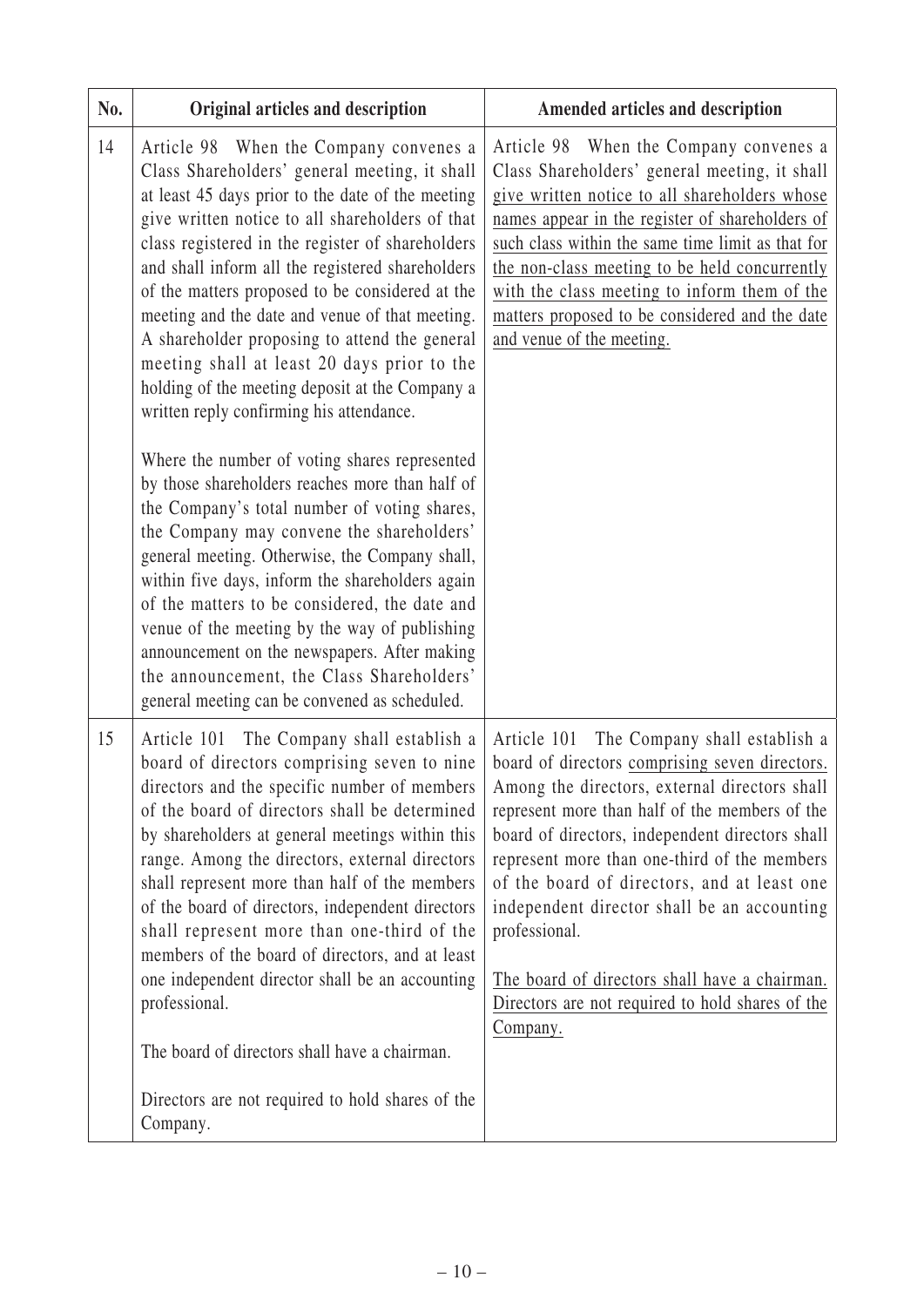| No. | Original articles and description                                                                                                                                                                                                                                                                                                                                                                                                                                                                                                                                                                                                                                                                                                                                                                                                                                                                                                                                                                                                                                                                                                                                  | Amended articles and description                                                                                                                                                                                                                                                                                                                                                                                                                                                                                                     |
|-----|--------------------------------------------------------------------------------------------------------------------------------------------------------------------------------------------------------------------------------------------------------------------------------------------------------------------------------------------------------------------------------------------------------------------------------------------------------------------------------------------------------------------------------------------------------------------------------------------------------------------------------------------------------------------------------------------------------------------------------------------------------------------------------------------------------------------------------------------------------------------------------------------------------------------------------------------------------------------------------------------------------------------------------------------------------------------------------------------------------------------------------------------------------------------|--------------------------------------------------------------------------------------------------------------------------------------------------------------------------------------------------------------------------------------------------------------------------------------------------------------------------------------------------------------------------------------------------------------------------------------------------------------------------------------------------------------------------------------|
| 14  | Article 98 When the Company convenes a<br>Class Shareholders' general meeting, it shall<br>at least 45 days prior to the date of the meeting<br>give written notice to all shareholders of that<br>class registered in the register of shareholders<br>and shall inform all the registered shareholders<br>of the matters proposed to be considered at the<br>meeting and the date and venue of that meeting.<br>A shareholder proposing to attend the general<br>meeting shall at least 20 days prior to the<br>holding of the meeting deposit at the Company a<br>written reply confirming his attendance.<br>Where the number of voting shares represented<br>by those shareholders reaches more than half of<br>the Company's total number of voting shares,<br>the Company may convene the shareholders'<br>general meeting. Otherwise, the Company shall,<br>within five days, inform the shareholders again<br>of the matters to be considered, the date and<br>venue of the meeting by the way of publishing<br>announcement on the newspapers. After making<br>the announcement, the Class Shareholders'<br>general meeting can be convened as scheduled. | Article 98 When the Company convenes a<br>Class Shareholders' general meeting, it shall<br>give written notice to all shareholders whose<br>names appear in the register of shareholders of<br>such class within the same time limit as that for<br>the non-class meeting to be held concurrently<br>with the class meeting to inform them of the<br>matters proposed to be considered and the date<br>and venue of the meeting.                                                                                                     |
| 15  | Article 101 The Company shall establish a<br>board of directors comprising seven to nine<br>directors and the specific number of members<br>of the board of directors shall be determined<br>by shareholders at general meetings within this<br>range. Among the directors, external directors<br>shall represent more than half of the members<br>of the board of directors, independent directors<br>shall represent more than one-third of the<br>members of the board of directors, and at least<br>one independent director shall be an accounting<br>professional.<br>The board of directors shall have a chairman.<br>Directors are not required to hold shares of the<br>Company.                                                                                                                                                                                                                                                                                                                                                                                                                                                                          | The Company shall establish a<br>Article 101<br>board of directors comprising seven directors.<br>Among the directors, external directors shall<br>represent more than half of the members of the<br>board of directors, independent directors shall<br>represent more than one-third of the members<br>of the board of directors, and at least one<br>independent director shall be an accounting<br>professional.<br>The board of directors shall have a chairman.<br>Directors are not required to hold shares of the<br>Company. |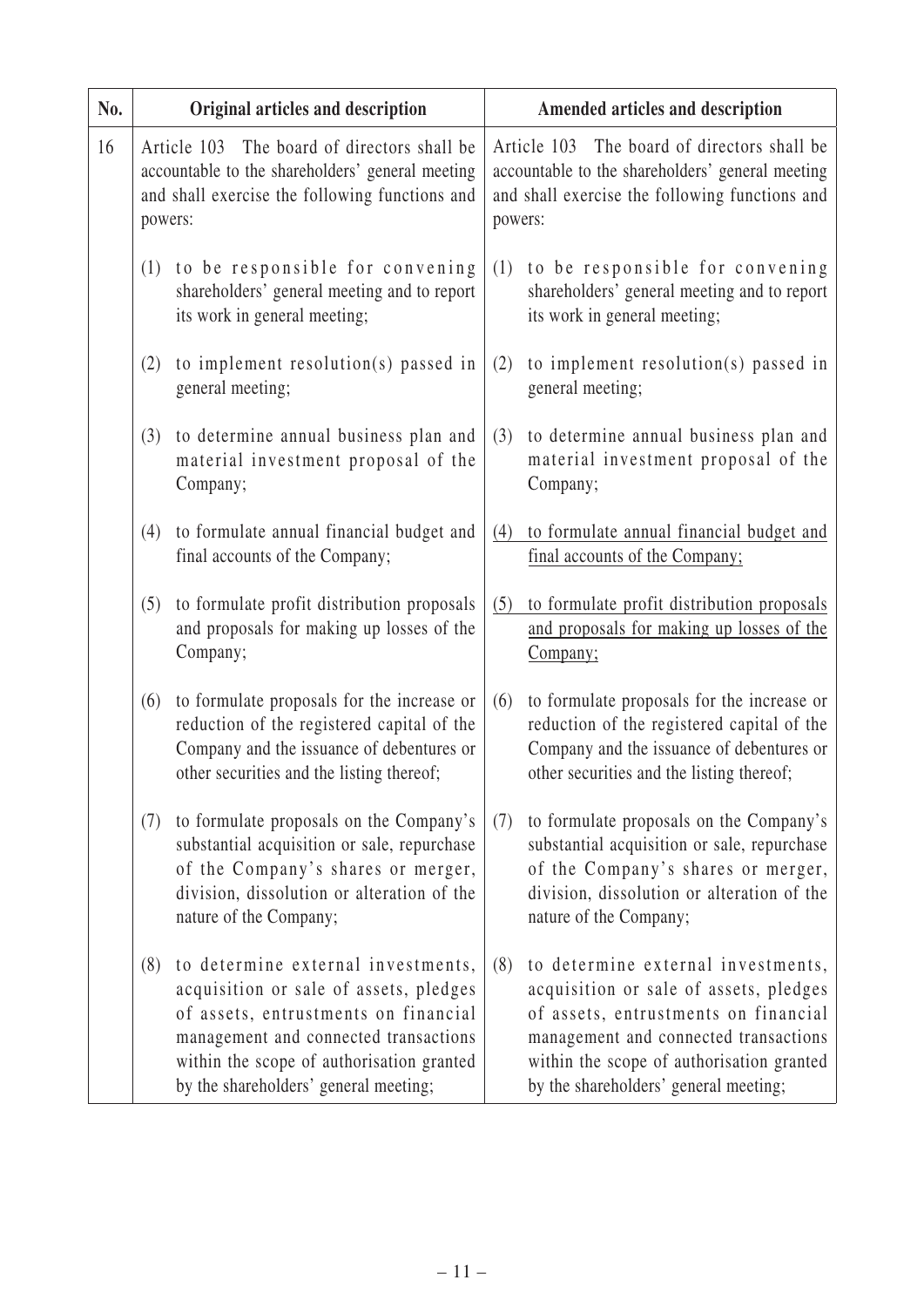| No. | Original articles and description                                                                                                                               |                                                                                                                                                                                                            |         | Amended articles and description                                                                                                                                                                                                                    |
|-----|-----------------------------------------------------------------------------------------------------------------------------------------------------------------|------------------------------------------------------------------------------------------------------------------------------------------------------------------------------------------------------------|---------|-----------------------------------------------------------------------------------------------------------------------------------------------------------------------------------------------------------------------------------------------------|
| 16  | The board of directors shall be<br>Article 103<br>accountable to the shareholders' general meeting<br>and shall exercise the following functions and<br>powers: |                                                                                                                                                                                                            | powers: | The board of directors shall be<br>Article 103<br>accountable to the shareholders' general meeting<br>and shall exercise the following functions and                                                                                                |
|     | (1)<br>its work in general meeting;                                                                                                                             | to be responsible for convening<br>shareholders' general meeting and to report                                                                                                                             | (1)     | to be responsible for convening<br>shareholders' general meeting and to report<br>its work in general meeting;                                                                                                                                      |
|     | (2)<br>general meeting;                                                                                                                                         | to implement resolution(s) passed in                                                                                                                                                                       | (2)     | to implement resolution(s) passed in<br>general meeting;                                                                                                                                                                                            |
|     | (3)<br>Company;                                                                                                                                                 | to determine annual business plan and<br>material investment proposal of the                                                                                                                               | (3)     | to determine annual business plan and<br>material investment proposal of the<br>Company;                                                                                                                                                            |
|     | (4)<br>final accounts of the Company;                                                                                                                           | to formulate annual financial budget and                                                                                                                                                                   | (4)     | to formulate annual financial budget and<br>final accounts of the Company;                                                                                                                                                                          |
|     | (5)<br>Company;                                                                                                                                                 | to formulate profit distribution proposals<br>and proposals for making up losses of the                                                                                                                    | (5)     | to formulate profit distribution proposals<br>and proposals for making up losses of the<br>Company;                                                                                                                                                 |
|     | (6)<br>other securities and the listing thereof;                                                                                                                | to formulate proposals for the increase or<br>reduction of the registered capital of the<br>Company and the issuance of debentures or                                                                      | (6)     | to formulate proposals for the increase or<br>reduction of the registered capital of the<br>Company and the issuance of debentures or<br>other securities and the listing thereof;                                                                  |
|     | (7)<br>nature of the Company;                                                                                                                                   | to formulate proposals on the Company's<br>substantial acquisition or sale, repurchase<br>of the Company's shares or merger,<br>division, dissolution or alteration of the                                 | (7)     | to formulate proposals on the Company's<br>substantial acquisition or sale, repurchase<br>of the Company's shares or merger,<br>division, dissolution or alteration of the<br>nature of the Company;                                                |
|     | (8)<br>by the shareholders' general meeting;                                                                                                                    | to determine external investments,<br>acquisition or sale of assets, pledges<br>of assets, entrustments on financial<br>management and connected transactions<br>within the scope of authorisation granted | (8)     | to determine external investments,<br>acquisition or sale of assets, pledges<br>of assets, entrustments on financial<br>management and connected transactions<br>within the scope of authorisation granted<br>by the shareholders' general meeting; |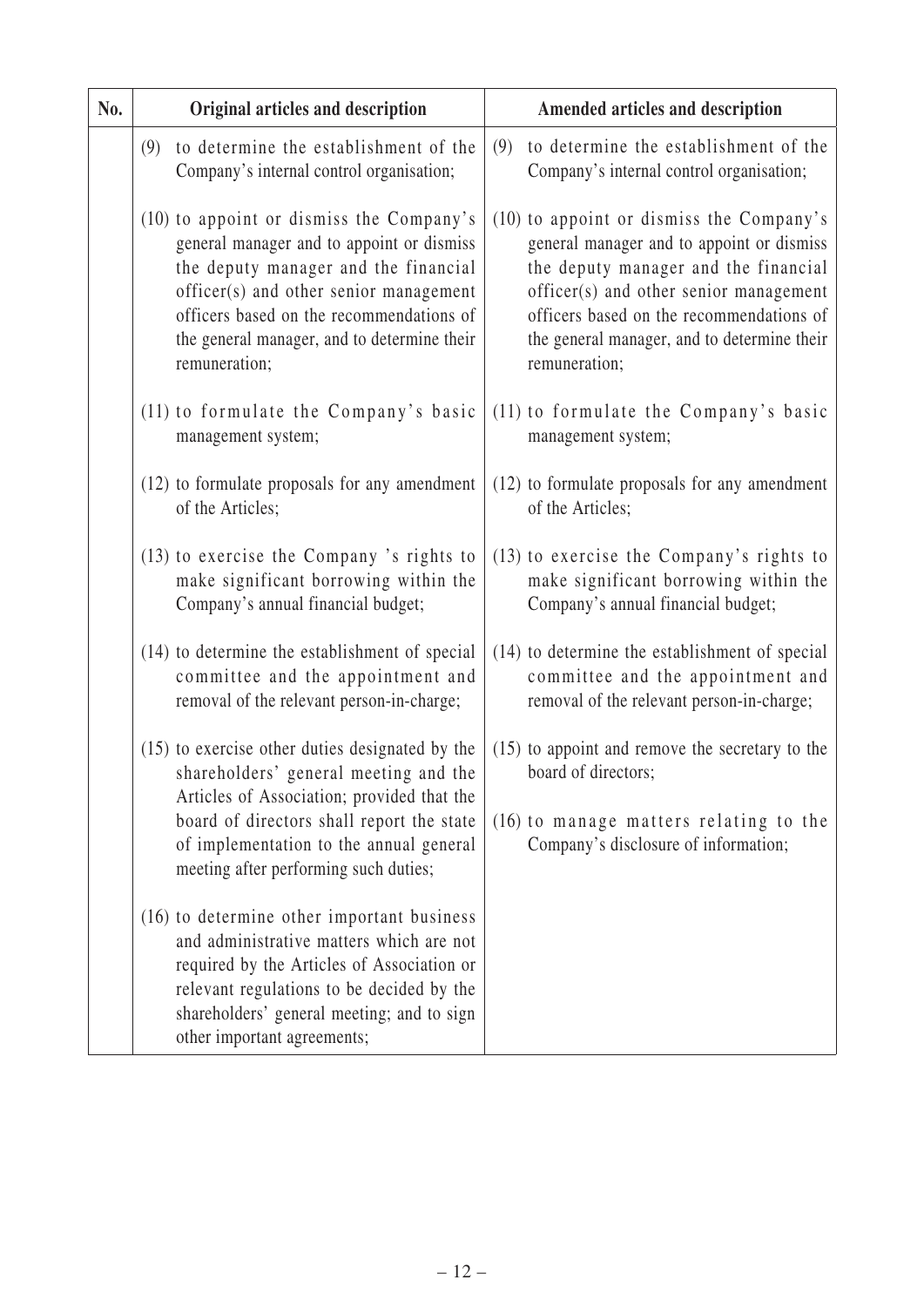| No. | Original articles and description                                                                                                                                                                                                                                                   | Amended articles and description                                                                                                                                                                                                                                                    |
|-----|-------------------------------------------------------------------------------------------------------------------------------------------------------------------------------------------------------------------------------------------------------------------------------------|-------------------------------------------------------------------------------------------------------------------------------------------------------------------------------------------------------------------------------------------------------------------------------------|
|     | to determine the establishment of the<br>(9)<br>Company's internal control organisation;                                                                                                                                                                                            | to determine the establishment of the<br>(9)<br>Company's internal control organisation;                                                                                                                                                                                            |
|     | (10) to appoint or dismiss the Company's<br>general manager and to appoint or dismiss<br>the deputy manager and the financial<br>officer(s) and other senior management<br>officers based on the recommendations of<br>the general manager, and to determine their<br>remuneration; | (10) to appoint or dismiss the Company's<br>general manager and to appoint or dismiss<br>the deputy manager and the financial<br>officer(s) and other senior management<br>officers based on the recommendations of<br>the general manager, and to determine their<br>remuneration; |
|     | (11) to formulate the Company's basic<br>management system;                                                                                                                                                                                                                         | (11) to formulate the Company's basic<br>management system;                                                                                                                                                                                                                         |
|     | (12) to formulate proposals for any amendment<br>of the Articles;                                                                                                                                                                                                                   | (12) to formulate proposals for any amendment<br>of the Articles;                                                                                                                                                                                                                   |
|     | (13) to exercise the Company 's rights to<br>make significant borrowing within the<br>Company's annual financial budget;                                                                                                                                                            | (13) to exercise the Company's rights to<br>make significant borrowing within the<br>Company's annual financial budget;                                                                                                                                                             |
|     | (14) to determine the establishment of special<br>committee and the appointment and<br>removal of the relevant person-in-charge;                                                                                                                                                    | (14) to determine the establishment of special<br>committee and the appointment and<br>removal of the relevant person-in-charge;                                                                                                                                                    |
|     | (15) to exercise other duties designated by the<br>shareholders' general meeting and the                                                                                                                                                                                            | $(15)$ to appoint and remove the secretary to the<br>board of directors;                                                                                                                                                                                                            |
|     | Articles of Association; provided that the<br>board of directors shall report the state<br>of implementation to the annual general<br>meeting after performing such duties;                                                                                                         | (16) to manage matters relating to the<br>Company's disclosure of information;                                                                                                                                                                                                      |
|     | (16) to determine other important business<br>and administrative matters which are not<br>required by the Articles of Association or<br>relevant regulations to be decided by the<br>shareholders' general meeting; and to sign<br>other important agreements;                      |                                                                                                                                                                                                                                                                                     |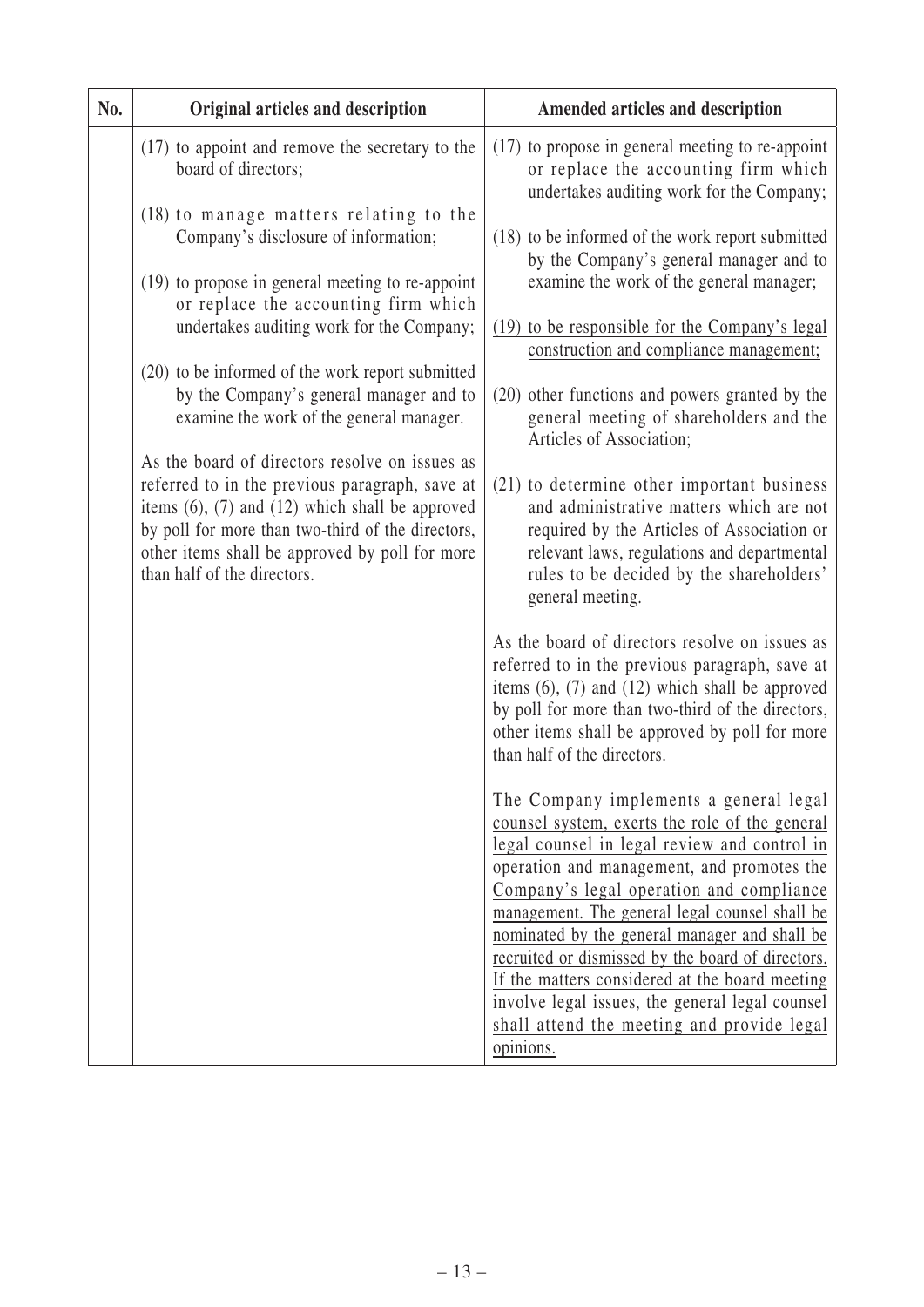| No. | Original articles and description                                                                                                                                                                                                                                                                | Amended articles and description                                                                                                                                                                                                                                                                 |
|-----|--------------------------------------------------------------------------------------------------------------------------------------------------------------------------------------------------------------------------------------------------------------------------------------------------|--------------------------------------------------------------------------------------------------------------------------------------------------------------------------------------------------------------------------------------------------------------------------------------------------|
|     | (17) to appoint and remove the secretary to the<br>board of directors;                                                                                                                                                                                                                           | (17) to propose in general meeting to re-appoint<br>or replace the accounting firm which<br>undertakes auditing work for the Company;                                                                                                                                                            |
|     | (18) to manage matters relating to the<br>Company's disclosure of information;                                                                                                                                                                                                                   | (18) to be informed of the work report submitted<br>by the Company's general manager and to                                                                                                                                                                                                      |
|     | (19) to propose in general meeting to re-appoint<br>or replace the accounting firm which<br>undertakes auditing work for the Company;                                                                                                                                                            | examine the work of the general manager;<br>(19) to be responsible for the Company's legal                                                                                                                                                                                                       |
|     | (20) to be informed of the work report submitted                                                                                                                                                                                                                                                 | construction and compliance management;                                                                                                                                                                                                                                                          |
|     | by the Company's general manager and to<br>examine the work of the general manager.                                                                                                                                                                                                              | (20) other functions and powers granted by the<br>general meeting of shareholders and the<br>Articles of Association;                                                                                                                                                                            |
|     | As the board of directors resolve on issues as<br>referred to in the previous paragraph, save at<br>items $(6)$ , $(7)$ and $(12)$ which shall be approved<br>by poll for more than two-third of the directors,<br>other items shall be approved by poll for more<br>than half of the directors. | (21) to determine other important business<br>and administrative matters which are not<br>required by the Articles of Association or<br>relevant laws, regulations and departmental<br>rules to be decided by the shareholders'<br>general meeting.                                              |
|     |                                                                                                                                                                                                                                                                                                  | As the board of directors resolve on issues as<br>referred to in the previous paragraph, save at<br>items $(6)$ , $(7)$ and $(12)$ which shall be approved<br>by poll for more than two-third of the directors,<br>other items shall be approved by poll for more<br>than half of the directors. |
|     |                                                                                                                                                                                                                                                                                                  | The Company implements a general legal<br>counsel system, exerts the role of the general<br>legal counsel in legal review and control in<br>operation and management, and promotes the<br>Company's legal operation and compliance<br>management. The general legal counsel shall be             |
|     |                                                                                                                                                                                                                                                                                                  | nominated by the general manager and shall be<br>recruited or dismissed by the board of directors.<br>If the matters considered at the board meeting<br>involve legal issues, the general legal counsel<br>shall attend the meeting and provide legal                                            |
|     |                                                                                                                                                                                                                                                                                                  | opinions.                                                                                                                                                                                                                                                                                        |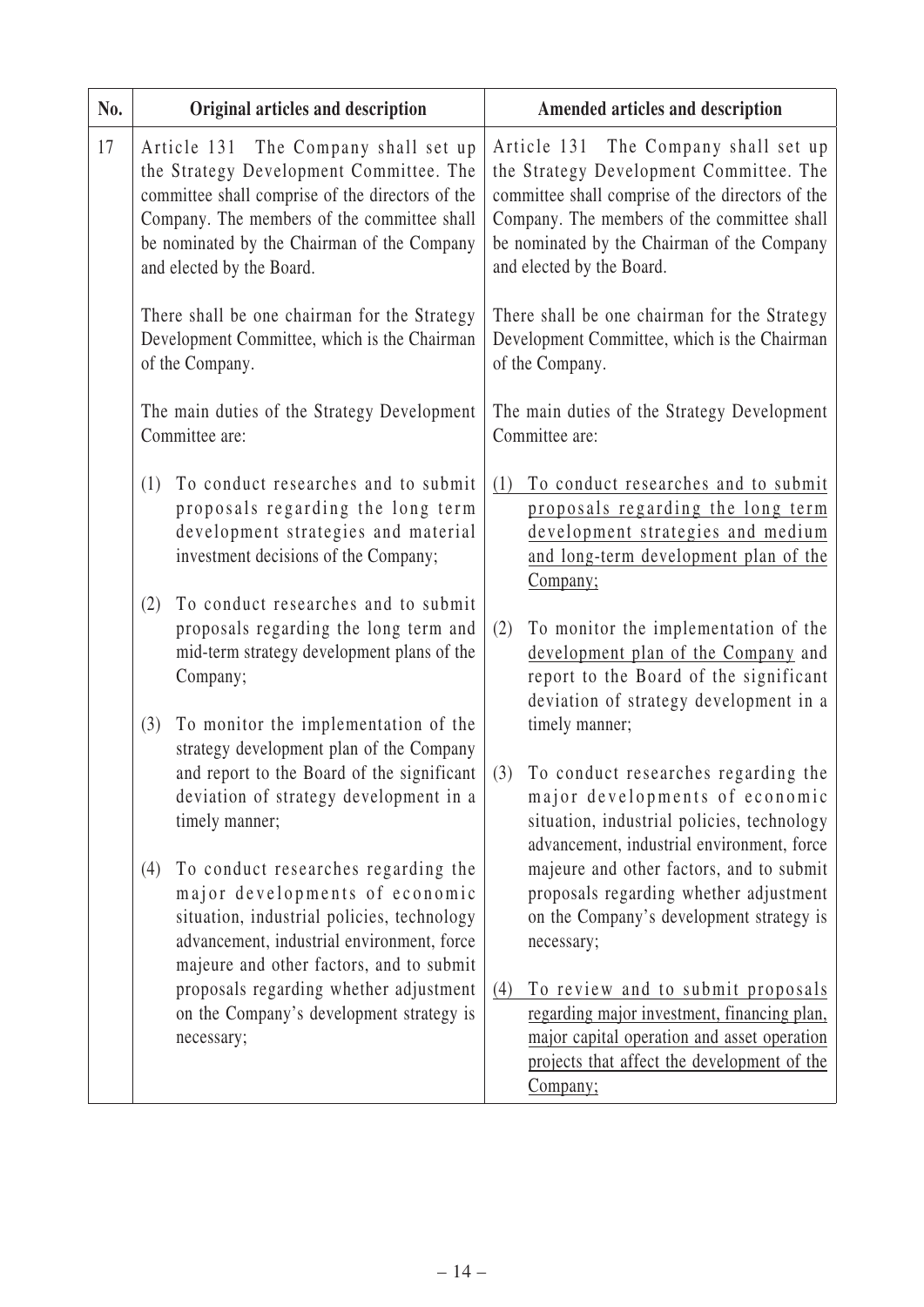| No. |     | Original articles and description                                                                                                                                                                                                                              |     | Amended articles and description                                                                                                                                                                                                                               |
|-----|-----|----------------------------------------------------------------------------------------------------------------------------------------------------------------------------------------------------------------------------------------------------------------|-----|----------------------------------------------------------------------------------------------------------------------------------------------------------------------------------------------------------------------------------------------------------------|
| 17  |     | Article 131 The Company shall set up<br>the Strategy Development Committee. The<br>committee shall comprise of the directors of the<br>Company. The members of the committee shall<br>be nominated by the Chairman of the Company<br>and elected by the Board. |     | Article 131 The Company shall set up<br>the Strategy Development Committee. The<br>committee shall comprise of the directors of the<br>Company. The members of the committee shall<br>be nominated by the Chairman of the Company<br>and elected by the Board. |
|     |     | There shall be one chairman for the Strategy<br>Development Committee, which is the Chairman<br>of the Company.                                                                                                                                                |     | There shall be one chairman for the Strategy<br>Development Committee, which is the Chairman<br>of the Company.                                                                                                                                                |
|     |     | The main duties of the Strategy Development<br>Committee are:                                                                                                                                                                                                  |     | The main duties of the Strategy Development<br>Committee are:                                                                                                                                                                                                  |
|     | (1) | To conduct researches and to submit<br>proposals regarding the long term<br>development strategies and material<br>investment decisions of the Company;                                                                                                        | (1) | To conduct researches and to submit<br>proposals regarding the long term<br>development strategies and medium<br>and long-term development plan of the<br>Company;                                                                                             |
|     | (2) | To conduct researches and to submit<br>proposals regarding the long term and<br>mid-term strategy development plans of the<br>Company;                                                                                                                         | (2) | To monitor the implementation of the<br>development plan of the Company and<br>report to the Board of the significant<br>deviation of strategy development in a                                                                                                |
|     | (3) | To monitor the implementation of the<br>strategy development plan of the Company<br>and report to the Board of the significant<br>deviation of strategy development in a<br>timely manner;                                                                     | (3) | timely manner;<br>To conduct researches regarding the<br>major developments of economic<br>situation, industrial policies, technology<br>advancement, industrial environment, force                                                                            |
|     | (4) | To conduct researches regarding the<br>major developments of economic<br>situation, industrial policies, technology<br>advancement, industrial environment, force<br>majeure and other factors, and to submit                                                  |     | majeure and other factors, and to submit<br>proposals regarding whether adjustment<br>on the Company's development strategy is<br>necessary;                                                                                                                   |
|     |     | proposals regarding whether adjustment<br>on the Company's development strategy is<br>necessary;                                                                                                                                                               | (4) | To review and to submit proposals<br>regarding major investment, financing plan,<br>major capital operation and asset operation<br>projects that affect the development of the<br>Company;                                                                     |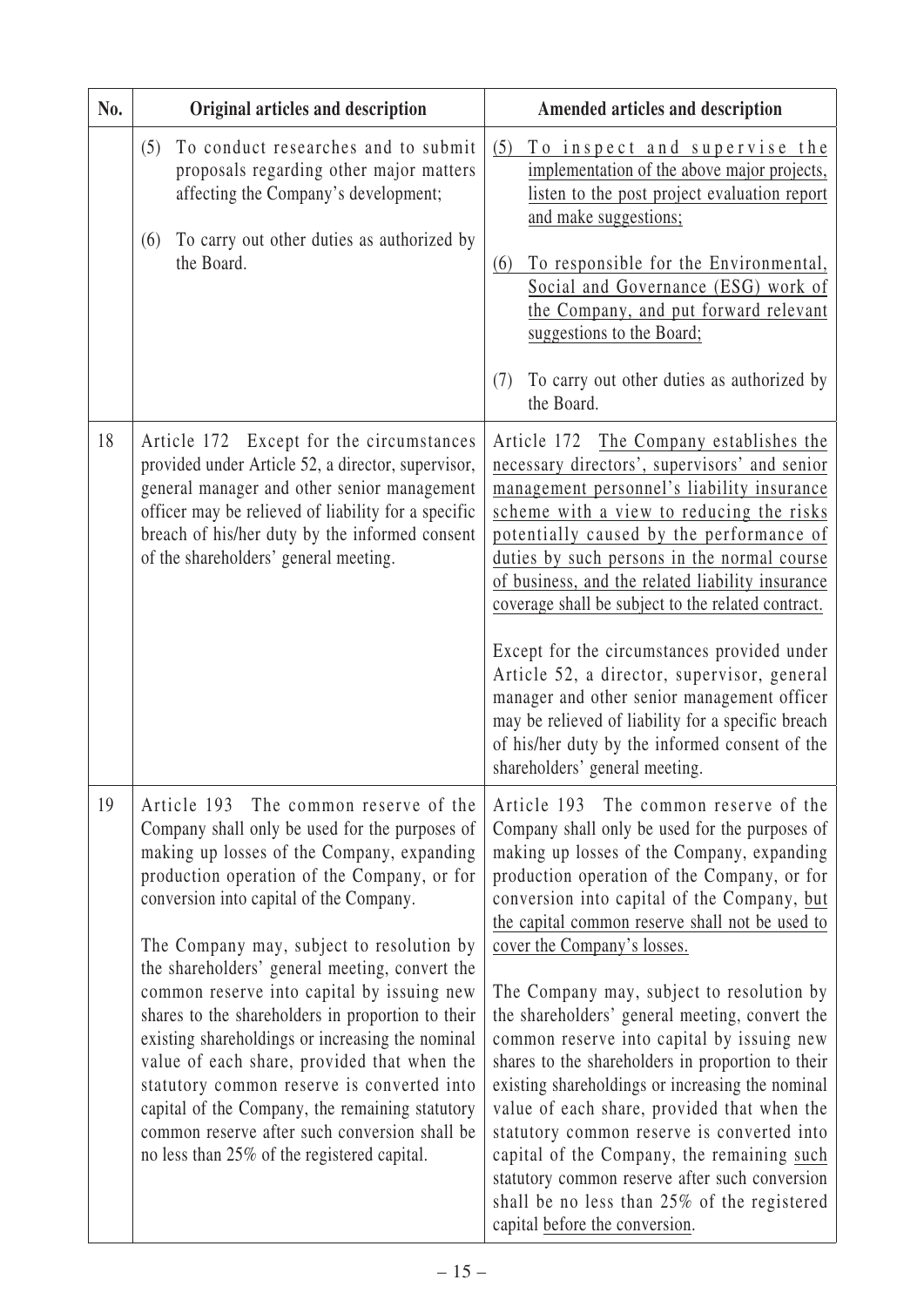| No. | Original articles and description                                                                                                                                                                                                                                                                                                                                                                                                                                                                                                                                                                                                                                                                                                     | Amended articles and description                                                                                                                                                                                                                                                                                                                                                                                                                                                                                                                                                                                                                                                                                                                                                                                                                          |  |
|-----|---------------------------------------------------------------------------------------------------------------------------------------------------------------------------------------------------------------------------------------------------------------------------------------------------------------------------------------------------------------------------------------------------------------------------------------------------------------------------------------------------------------------------------------------------------------------------------------------------------------------------------------------------------------------------------------------------------------------------------------|-----------------------------------------------------------------------------------------------------------------------------------------------------------------------------------------------------------------------------------------------------------------------------------------------------------------------------------------------------------------------------------------------------------------------------------------------------------------------------------------------------------------------------------------------------------------------------------------------------------------------------------------------------------------------------------------------------------------------------------------------------------------------------------------------------------------------------------------------------------|--|
|     | To conduct researches and to submit<br>(5)<br>proposals regarding other major matters<br>affecting the Company's development;<br>To carry out other duties as authorized by<br>(6)<br>the Board.                                                                                                                                                                                                                                                                                                                                                                                                                                                                                                                                      | (5)<br>To inspect and supervise the<br>implementation of the above major projects,<br>listen to the post project evaluation report<br>and make suggestions;<br>To responsible for the Environmental,<br>(6)<br>Social and Governance (ESG) work of<br>the Company, and put forward relevant<br>suggestions to the Board;                                                                                                                                                                                                                                                                                                                                                                                                                                                                                                                                  |  |
|     |                                                                                                                                                                                                                                                                                                                                                                                                                                                                                                                                                                                                                                                                                                                                       | To carry out other duties as authorized by<br>(7)<br>the Board.                                                                                                                                                                                                                                                                                                                                                                                                                                                                                                                                                                                                                                                                                                                                                                                           |  |
| 18  | Article 172 Except for the circumstances<br>provided under Article 52, a director, supervisor,<br>general manager and other senior management<br>officer may be relieved of liability for a specific<br>breach of his/her duty by the informed consent<br>of the shareholders' general meeting.                                                                                                                                                                                                                                                                                                                                                                                                                                       | Article 172 The Company establishes the<br>necessary directors', supervisors' and senior<br>management personnel's liability insurance<br>scheme with a view to reducing the risks<br>potentially caused by the performance of<br>duties by such persons in the normal course<br>of business, and the related liability insurance<br>coverage shall be subject to the related contract.<br>Except for the circumstances provided under<br>Article 52, a director, supervisor, general<br>manager and other senior management officer<br>may be relieved of liability for a specific breach<br>of his/her duty by the informed consent of the<br>shareholders' general meeting.                                                                                                                                                                            |  |
| 19  | Article 193 The common reserve of the<br>Company shall only be used for the purposes of<br>making up losses of the Company, expanding<br>production operation of the Company, or for<br>conversion into capital of the Company.<br>The Company may, subject to resolution by<br>the shareholders' general meeting, convert the<br>common reserve into capital by issuing new<br>shares to the shareholders in proportion to their<br>existing shareholdings or increasing the nominal<br>value of each share, provided that when the<br>statutory common reserve is converted into<br>capital of the Company, the remaining statutory<br>common reserve after such conversion shall be<br>no less than 25% of the registered capital. | Article 193 The common reserve of the<br>Company shall only be used for the purposes of<br>making up losses of the Company, expanding<br>production operation of the Company, or for<br>conversion into capital of the Company, but<br>the capital common reserve shall not be used to<br>cover the Company's losses.<br>The Company may, subject to resolution by<br>the shareholders' general meeting, convert the<br>common reserve into capital by issuing new<br>shares to the shareholders in proportion to their<br>existing shareholdings or increasing the nominal<br>value of each share, provided that when the<br>statutory common reserve is converted into<br>capital of the Company, the remaining such<br>statutory common reserve after such conversion<br>shall be no less than 25% of the registered<br>capital before the conversion. |  |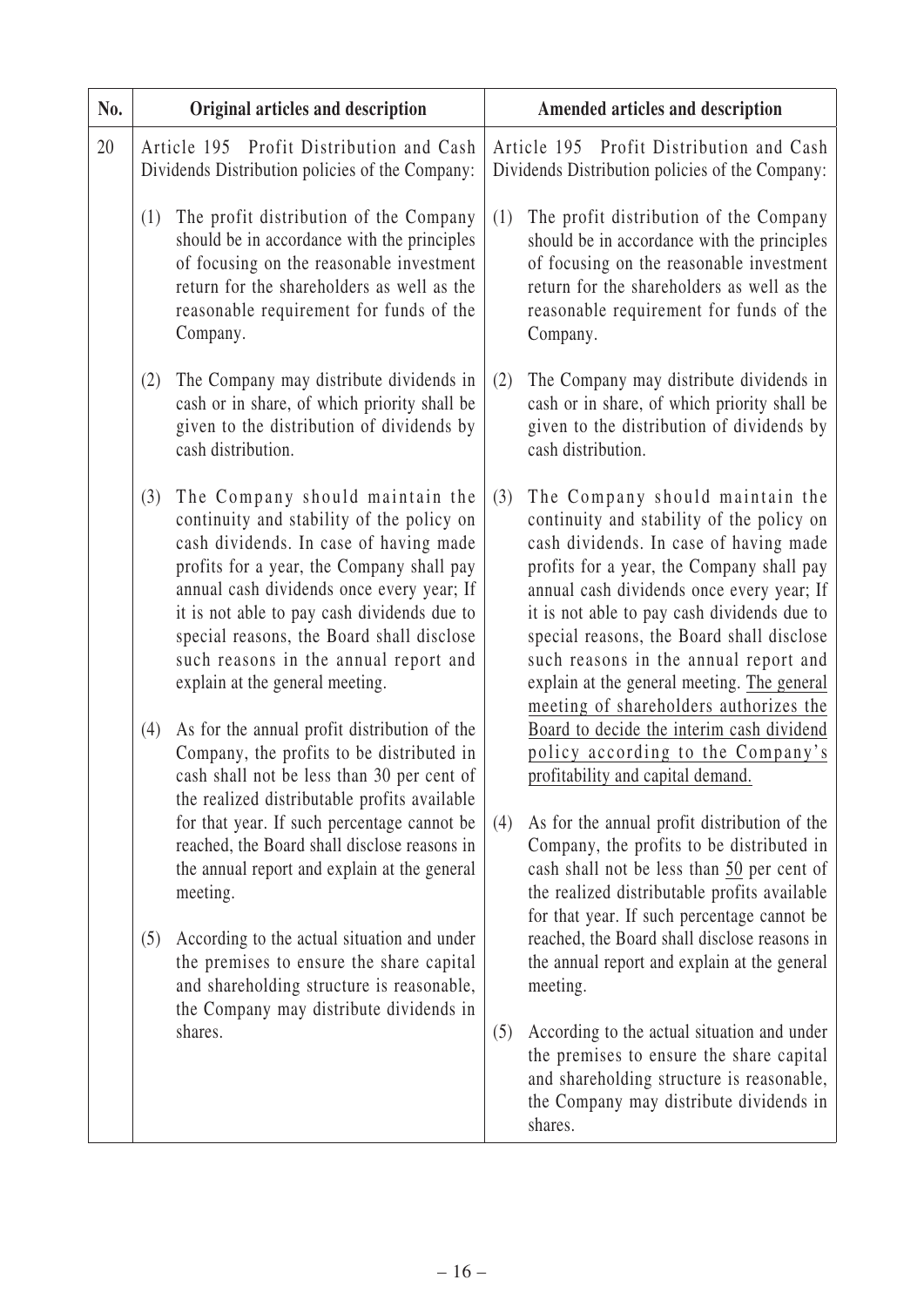| No. | Original articles and description                                                           |                                                                                                                                                                                                                                                                                                                                                                                          |     | Amended articles and description                                                                                                                                                                                                                                                                                                                                                                                                               |
|-----|---------------------------------------------------------------------------------------------|------------------------------------------------------------------------------------------------------------------------------------------------------------------------------------------------------------------------------------------------------------------------------------------------------------------------------------------------------------------------------------------|-----|------------------------------------------------------------------------------------------------------------------------------------------------------------------------------------------------------------------------------------------------------------------------------------------------------------------------------------------------------------------------------------------------------------------------------------------------|
| 20  | Article 195 Profit Distribution and Cash<br>Dividends Distribution policies of the Company: |                                                                                                                                                                                                                                                                                                                                                                                          |     | Article 195 Profit Distribution and Cash<br>Dividends Distribution policies of the Company:                                                                                                                                                                                                                                                                                                                                                    |
|     | (1)                                                                                         | The profit distribution of the Company<br>should be in accordance with the principles<br>of focusing on the reasonable investment<br>return for the shareholders as well as the<br>reasonable requirement for funds of the<br>Company.                                                                                                                                                   | (1) | The profit distribution of the Company<br>should be in accordance with the principles<br>of focusing on the reasonable investment<br>return for the shareholders as well as the<br>reasonable requirement for funds of the<br>Company.                                                                                                                                                                                                         |
|     | (2)                                                                                         | The Company may distribute dividends in<br>cash or in share, of which priority shall be<br>given to the distribution of dividends by<br>cash distribution.                                                                                                                                                                                                                               | (2) | The Company may distribute dividends in<br>cash or in share, of which priority shall be<br>given to the distribution of dividends by<br>cash distribution.                                                                                                                                                                                                                                                                                     |
|     | (3)                                                                                         | The Company should maintain the<br>continuity and stability of the policy on<br>cash dividends. In case of having made<br>profits for a year, the Company shall pay<br>annual cash dividends once every year; If<br>it is not able to pay cash dividends due to<br>special reasons, the Board shall disclose<br>such reasons in the annual report and<br>explain at the general meeting. | (3) | The Company should maintain the<br>continuity and stability of the policy on<br>cash dividends. In case of having made<br>profits for a year, the Company shall pay<br>annual cash dividends once every year; If<br>it is not able to pay cash dividends due to<br>special reasons, the Board shall disclose<br>such reasons in the annual report and<br>explain at the general meeting. The general<br>meeting of shareholders authorizes the |
|     | (4)                                                                                         | As for the annual profit distribution of the<br>Company, the profits to be distributed in<br>cash shall not be less than 30 per cent of<br>the realized distributable profits available                                                                                                                                                                                                  |     | Board to decide the interim cash dividend<br>policy according to the Company's<br>profitability and capital demand.                                                                                                                                                                                                                                                                                                                            |
|     |                                                                                             | for that year. If such percentage cannot be<br>reached, the Board shall disclose reasons in<br>the annual report and explain at the general<br>meeting.                                                                                                                                                                                                                                  | (4) | As for the annual profit distribution of the<br>Company, the profits to be distributed in<br>cash shall not be less than 50 per cent of<br>the realized distributable profits available<br>for that year. If such percentage cannot be                                                                                                                                                                                                         |
|     | (5)                                                                                         | According to the actual situation and under<br>the premises to ensure the share capital<br>and shareholding structure is reasonable,<br>the Company may distribute dividends in                                                                                                                                                                                                          |     | reached, the Board shall disclose reasons in<br>the annual report and explain at the general<br>meeting.                                                                                                                                                                                                                                                                                                                                       |
|     |                                                                                             | shares.                                                                                                                                                                                                                                                                                                                                                                                  | (5) | According to the actual situation and under<br>the premises to ensure the share capital<br>and shareholding structure is reasonable,<br>the Company may distribute dividends in<br>shares.                                                                                                                                                                                                                                                     |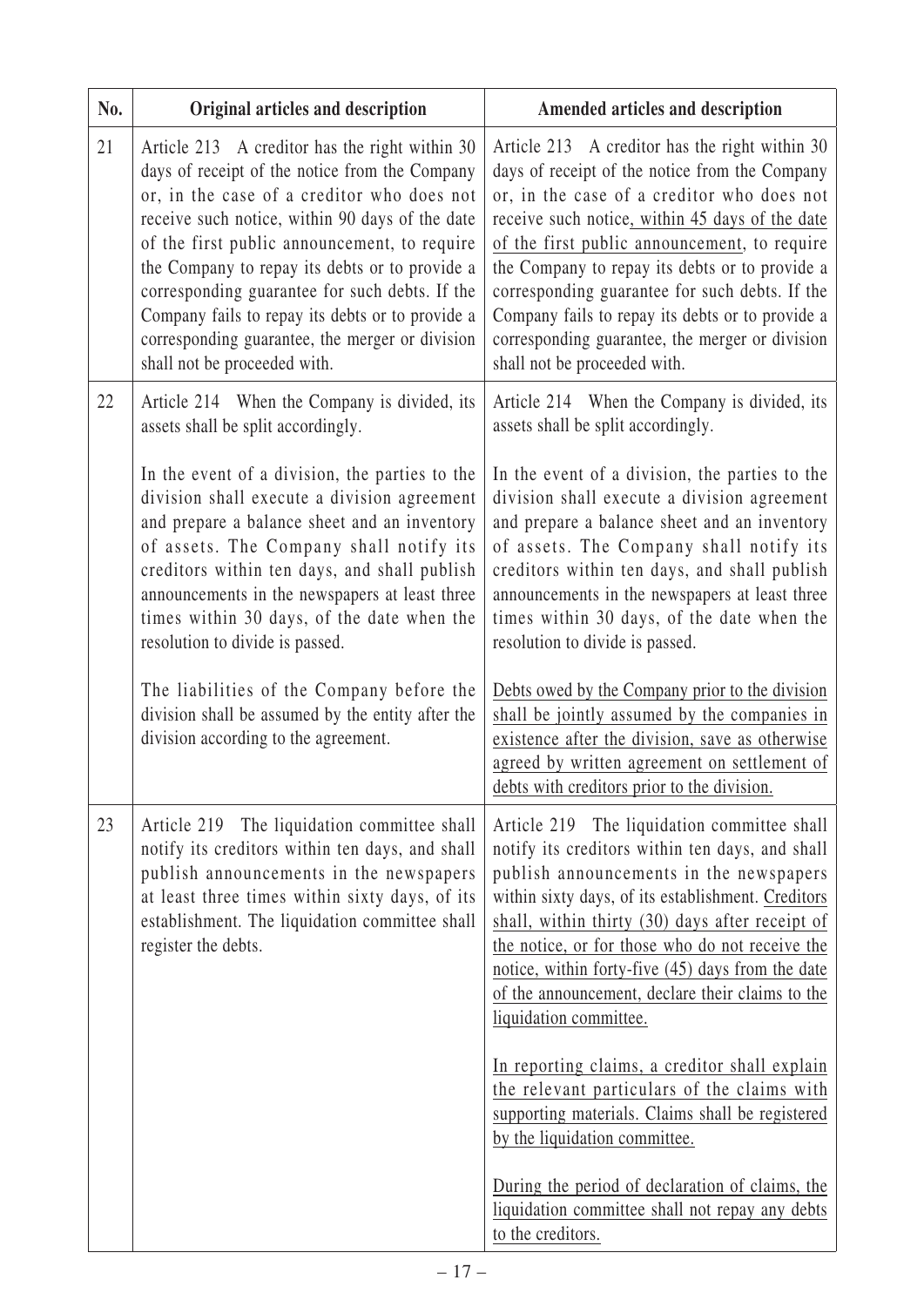| No. | Original articles and description                                                                                                                                                                                                                                                                                                                                                                                                                                                            | Amended articles and description                                                                                                                                                                                                                                                                                                                                                                                                                                                             |
|-----|----------------------------------------------------------------------------------------------------------------------------------------------------------------------------------------------------------------------------------------------------------------------------------------------------------------------------------------------------------------------------------------------------------------------------------------------------------------------------------------------|----------------------------------------------------------------------------------------------------------------------------------------------------------------------------------------------------------------------------------------------------------------------------------------------------------------------------------------------------------------------------------------------------------------------------------------------------------------------------------------------|
| 21  | Article 213 A creditor has the right within 30<br>days of receipt of the notice from the Company<br>or, in the case of a creditor who does not<br>receive such notice, within 90 days of the date<br>of the first public announcement, to require<br>the Company to repay its debts or to provide a<br>corresponding guarantee for such debts. If the<br>Company fails to repay its debts or to provide a<br>corresponding guarantee, the merger or division<br>shall not be proceeded with. | Article 213 A creditor has the right within 30<br>days of receipt of the notice from the Company<br>or, in the case of a creditor who does not<br>receive such notice, within 45 days of the date<br>of the first public announcement, to require<br>the Company to repay its debts or to provide a<br>corresponding guarantee for such debts. If the<br>Company fails to repay its debts or to provide a<br>corresponding guarantee, the merger or division<br>shall not be proceeded with. |
| 22  | Article 214 When the Company is divided, its<br>assets shall be split accordingly.                                                                                                                                                                                                                                                                                                                                                                                                           | Article 214 When the Company is divided, its<br>assets shall be split accordingly.                                                                                                                                                                                                                                                                                                                                                                                                           |
|     | In the event of a division, the parties to the<br>division shall execute a division agreement<br>and prepare a balance sheet and an inventory<br>of assets. The Company shall notify its<br>creditors within ten days, and shall publish<br>announcements in the newspapers at least three<br>times within 30 days, of the date when the<br>resolution to divide is passed.                                                                                                                  | In the event of a division, the parties to the<br>division shall execute a division agreement<br>and prepare a balance sheet and an inventory<br>of assets. The Company shall notify its<br>creditors within ten days, and shall publish<br>announcements in the newspapers at least three<br>times within 30 days, of the date when the<br>resolution to divide is passed.                                                                                                                  |
|     | The liabilities of the Company before the<br>division shall be assumed by the entity after the<br>division according to the agreement.                                                                                                                                                                                                                                                                                                                                                       | Debts owed by the Company prior to the division<br>shall be jointly assumed by the companies in<br>existence after the division, save as otherwise<br>agreed by written agreement on settlement of<br>debts with creditors prior to the division.                                                                                                                                                                                                                                            |
| 23  | Article 219 The liquidation committee shall<br>notify its creditors within ten days, and shall<br>publish announcements in the newspapers<br>at least three times within sixty days, of its<br>establishment. The liquidation committee shall<br>register the debts.                                                                                                                                                                                                                         | Article 219 The liquidation committee shall<br>notify its creditors within ten days, and shall<br>publish announcements in the newspapers<br>within sixty days, of its establishment. Creditors<br>shall, within thirty (30) days after receipt of<br>the notice, or for those who do not receive the<br>notice, within forty-five (45) days from the date<br>of the announcement, declare their claims to the<br>liquidation committee.                                                     |
|     |                                                                                                                                                                                                                                                                                                                                                                                                                                                                                              | In reporting claims, a creditor shall explain<br>the relevant particulars of the claims with<br>supporting materials. Claims shall be registered<br>by the liquidation committee.                                                                                                                                                                                                                                                                                                            |
|     |                                                                                                                                                                                                                                                                                                                                                                                                                                                                                              | During the period of declaration of claims, the<br>liquidation committee shall not repay any debts<br>to the creditors.                                                                                                                                                                                                                                                                                                                                                                      |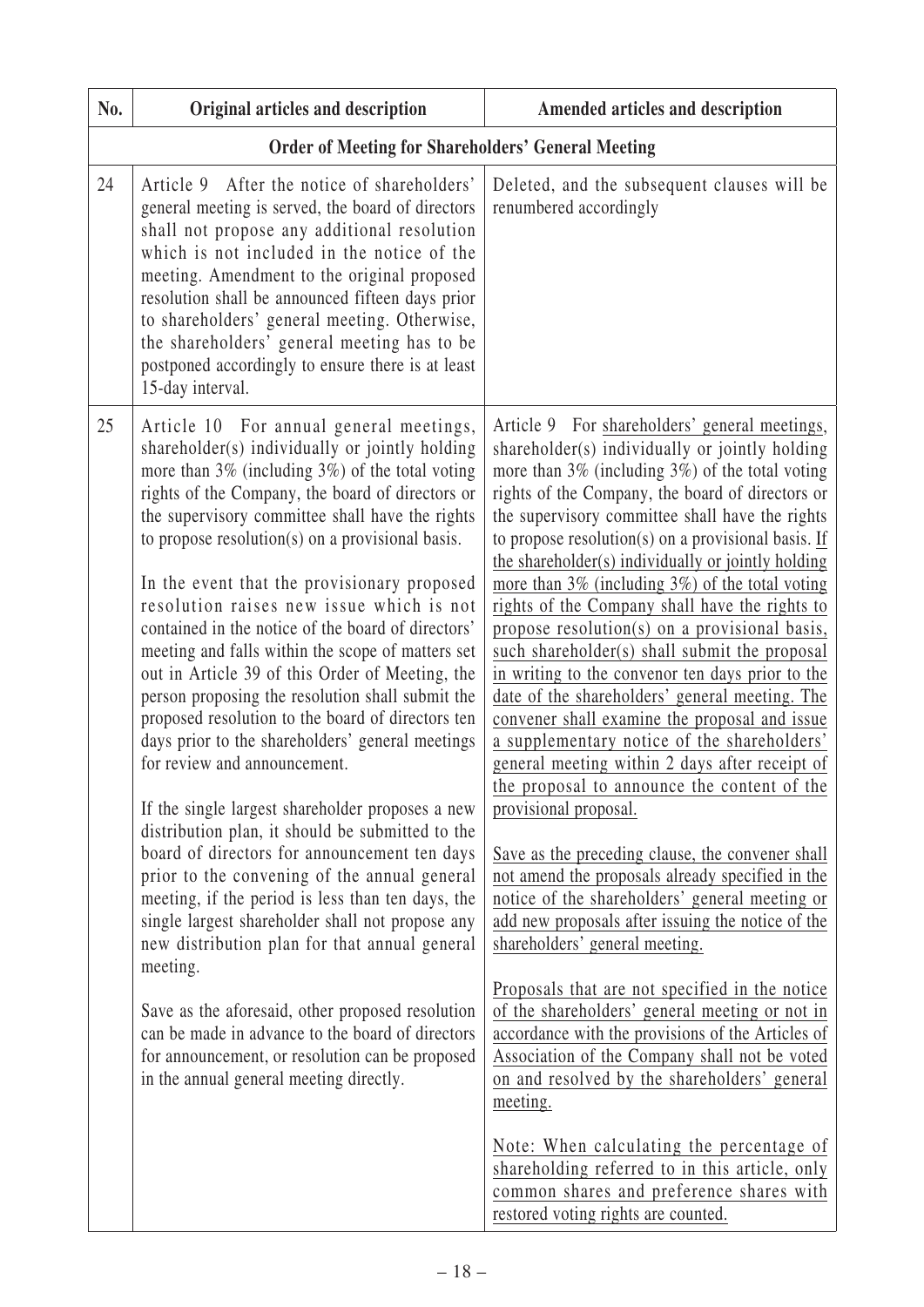| No. | Original articles and description                                                                                                                                                                                                                                                                                                                                                                                                                                                                                                                                                                                                                                                                                                                                                                                                                                                                                                                                                                                                                                                                                                                                                                                                                                                                                                                        | Amended articles and description                                                                                                                                                                                                                                                                                                                                                                                                                                                                                                                                                                                                                                                                                                                                                                                                                                                                                                                                                                                                                                                                                                                                                                                                                                                                                                                                                                                                                                                                                                                                                             |
|-----|----------------------------------------------------------------------------------------------------------------------------------------------------------------------------------------------------------------------------------------------------------------------------------------------------------------------------------------------------------------------------------------------------------------------------------------------------------------------------------------------------------------------------------------------------------------------------------------------------------------------------------------------------------------------------------------------------------------------------------------------------------------------------------------------------------------------------------------------------------------------------------------------------------------------------------------------------------------------------------------------------------------------------------------------------------------------------------------------------------------------------------------------------------------------------------------------------------------------------------------------------------------------------------------------------------------------------------------------------------|----------------------------------------------------------------------------------------------------------------------------------------------------------------------------------------------------------------------------------------------------------------------------------------------------------------------------------------------------------------------------------------------------------------------------------------------------------------------------------------------------------------------------------------------------------------------------------------------------------------------------------------------------------------------------------------------------------------------------------------------------------------------------------------------------------------------------------------------------------------------------------------------------------------------------------------------------------------------------------------------------------------------------------------------------------------------------------------------------------------------------------------------------------------------------------------------------------------------------------------------------------------------------------------------------------------------------------------------------------------------------------------------------------------------------------------------------------------------------------------------------------------------------------------------------------------------------------------------|
|     | <b>Order of Meeting for Shareholders' General Meeting</b>                                                                                                                                                                                                                                                                                                                                                                                                                                                                                                                                                                                                                                                                                                                                                                                                                                                                                                                                                                                                                                                                                                                                                                                                                                                                                                |                                                                                                                                                                                                                                                                                                                                                                                                                                                                                                                                                                                                                                                                                                                                                                                                                                                                                                                                                                                                                                                                                                                                                                                                                                                                                                                                                                                                                                                                                                                                                                                              |
| 24  | After the notice of shareholders'<br>Article 9<br>general meeting is served, the board of directors<br>shall not propose any additional resolution<br>which is not included in the notice of the<br>meeting. Amendment to the original proposed<br>resolution shall be announced fifteen days prior<br>to shareholders' general meeting. Otherwise,<br>the shareholders' general meeting has to be<br>postponed accordingly to ensure there is at least<br>15-day interval.                                                                                                                                                                                                                                                                                                                                                                                                                                                                                                                                                                                                                                                                                                                                                                                                                                                                              | Deleted, and the subsequent clauses will be<br>renumbered accordingly                                                                                                                                                                                                                                                                                                                                                                                                                                                                                                                                                                                                                                                                                                                                                                                                                                                                                                                                                                                                                                                                                                                                                                                                                                                                                                                                                                                                                                                                                                                        |
| 25  | Article 10 For annual general meetings,<br>shareholder(s) individually or jointly holding<br>more than $3\%$ (including $3\%$ ) of the total voting<br>rights of the Company, the board of directors or<br>the supervisory committee shall have the rights<br>to propose resolution(s) on a provisional basis.<br>In the event that the provisionary proposed<br>resolution raises new issue which is not<br>contained in the notice of the board of directors'<br>meeting and falls within the scope of matters set<br>out in Article 39 of this Order of Meeting, the<br>person proposing the resolution shall submit the<br>proposed resolution to the board of directors ten<br>days prior to the shareholders' general meetings<br>for review and announcement.<br>If the single largest shareholder proposes a new<br>distribution plan, it should be submitted to the<br>board of directors for announcement ten days<br>prior to the convening of the annual general<br>meeting, if the period is less than ten days, the<br>single largest shareholder shall not propose any<br>new distribution plan for that annual general<br>meeting.<br>Save as the aforesaid, other proposed resolution<br>can be made in advance to the board of directors<br>for announcement, or resolution can be proposed<br>in the annual general meeting directly. | Article 9 For shareholders' general meetings,<br>shareholder(s) individually or jointly holding<br>more than $3\%$ (including $3\%$ ) of the total voting<br>rights of the Company, the board of directors or<br>the supervisory committee shall have the rights<br>to propose resolution(s) on a provisional basis. If<br>the shareholder(s) individually or jointly holding<br>more than $3\%$ (including $3\%$ ) of the total voting<br>rights of the Company shall have the rights to<br>propose resolution(s) on a provisional basis,<br>such shareholder(s) shall submit the proposal<br>in writing to the convenor ten days prior to the<br>date of the shareholders' general meeting. The<br>convener shall examine the proposal and issue<br>a supplementary notice of the shareholders'<br>general meeting within 2 days after receipt of<br>the proposal to announce the content of the<br>provisional proposal.<br>Save as the preceding clause, the convener shall<br>not amend the proposals already specified in the<br>notice of the shareholders' general meeting or<br>add new proposals after issuing the notice of the<br>shareholders' general meeting.<br>Proposals that are not specified in the notice<br>of the shareholders' general meeting or not in<br>accordance with the provisions of the Articles of<br>Association of the Company shall not be voted<br>on and resolved by the shareholders' general<br>meeting.<br>Note: When calculating the percentage of<br>shareholding referred to in this article, only<br>common shares and preference shares with |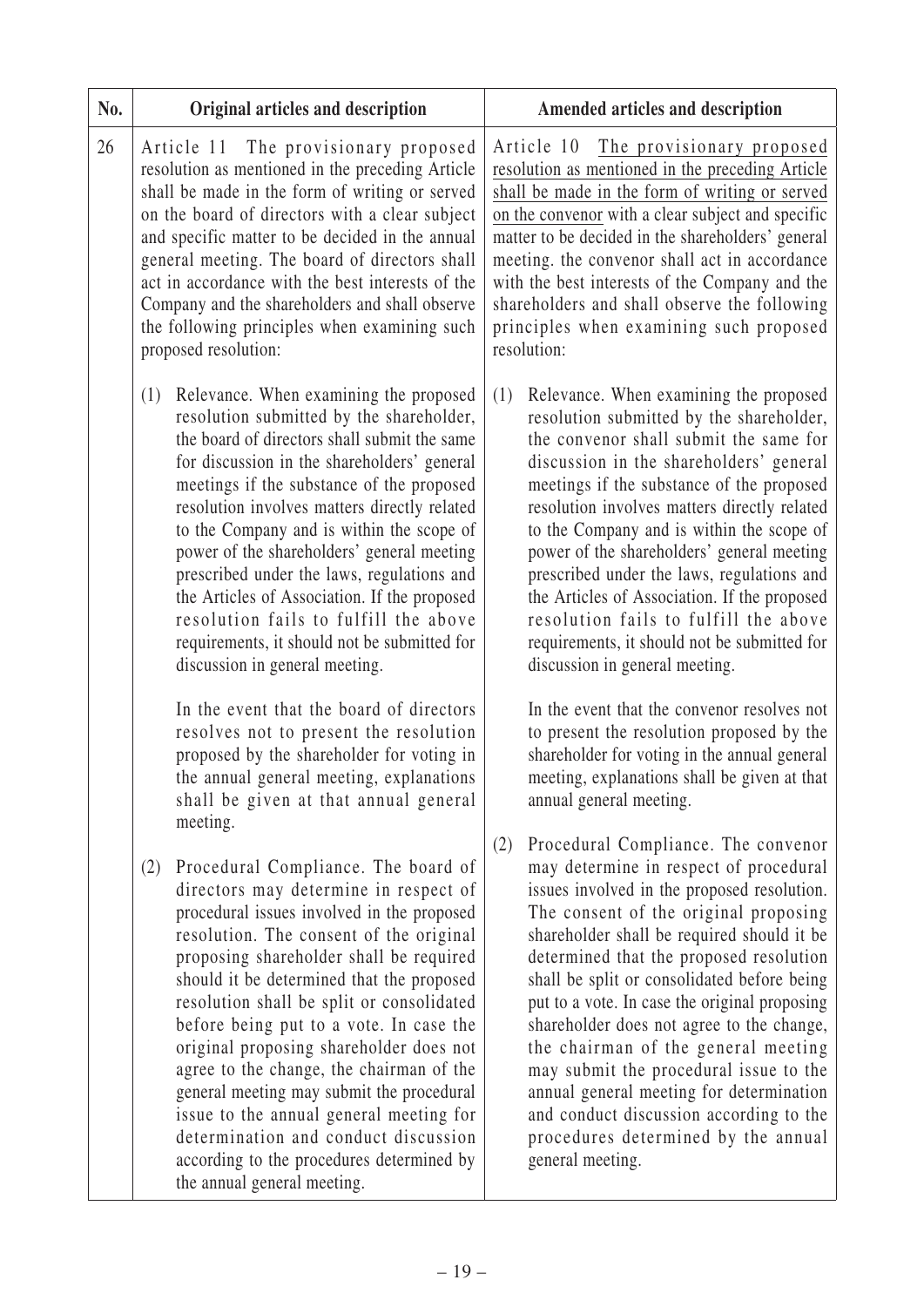| No. | Original articles and description                                                                                                                                                                                                                                                                                                                                                                                                                                                                                                                                                                                                                                                                                                                                                        | Amended articles and description                                                                                                                                                                                                                                                                                                                                                                                                                                                                                                                                                                                                                                                                                                                                                            |
|-----|------------------------------------------------------------------------------------------------------------------------------------------------------------------------------------------------------------------------------------------------------------------------------------------------------------------------------------------------------------------------------------------------------------------------------------------------------------------------------------------------------------------------------------------------------------------------------------------------------------------------------------------------------------------------------------------------------------------------------------------------------------------------------------------|---------------------------------------------------------------------------------------------------------------------------------------------------------------------------------------------------------------------------------------------------------------------------------------------------------------------------------------------------------------------------------------------------------------------------------------------------------------------------------------------------------------------------------------------------------------------------------------------------------------------------------------------------------------------------------------------------------------------------------------------------------------------------------------------|
| 26  | Article 11 The provisionary proposed<br>resolution as mentioned in the preceding Article<br>shall be made in the form of writing or served<br>on the board of directors with a clear subject<br>and specific matter to be decided in the annual<br>general meeting. The board of directors shall<br>act in accordance with the best interests of the<br>Company and the shareholders and shall observe<br>the following principles when examining such<br>proposed resolution:                                                                                                                                                                                                                                                                                                           | Article 10 The provisionary proposed<br>resolution as mentioned in the preceding Article<br>shall be made in the form of writing or served<br>on the convenor with a clear subject and specific<br>matter to be decided in the shareholders' general<br>meeting. the convenor shall act in accordance<br>with the best interests of the Company and the<br>shareholders and shall observe the following<br>principles when examining such proposed<br>resolution:                                                                                                                                                                                                                                                                                                                           |
|     | Relevance. When examining the proposed<br>(1)<br>resolution submitted by the shareholder,<br>the board of directors shall submit the same<br>for discussion in the shareholders' general<br>meetings if the substance of the proposed<br>resolution involves matters directly related<br>to the Company and is within the scope of<br>power of the shareholders' general meeting<br>prescribed under the laws, regulations and<br>the Articles of Association. If the proposed<br>resolution fails to fulfill the above<br>requirements, it should not be submitted for<br>discussion in general meeting.<br>In the event that the board of directors<br>resolves not to present the resolution<br>proposed by the shareholder for voting in<br>the annual general meeting, explanations | Relevance. When examining the proposed<br>(1)<br>resolution submitted by the shareholder,<br>the convenor shall submit the same for<br>discussion in the shareholders' general<br>meetings if the substance of the proposed<br>resolution involves matters directly related<br>to the Company and is within the scope of<br>power of the shareholders' general meeting<br>prescribed under the laws, regulations and<br>the Articles of Association. If the proposed<br>resolution fails to fulfill the above<br>requirements, it should not be submitted for<br>discussion in general meeting.<br>In the event that the convenor resolves not<br>to present the resolution proposed by the<br>shareholder for voting in the annual general<br>meeting, explanations shall be given at that |
|     | shall be given at that annual general<br>meeting.<br>Procedural Compliance. The board of<br>(2)<br>directors may determine in respect of<br>procedural issues involved in the proposed<br>resolution. The consent of the original<br>proposing shareholder shall be required<br>should it be determined that the proposed<br>resolution shall be split or consolidated<br>before being put to a vote. In case the<br>original proposing shareholder does not<br>agree to the change, the chairman of the<br>general meeting may submit the procedural<br>issue to the annual general meeting for<br>determination and conduct discussion<br>according to the procedures determined by<br>the annual general meeting.                                                                     | annual general meeting.<br>Procedural Compliance. The convenor<br>(2)<br>may determine in respect of procedural<br>issues involved in the proposed resolution.<br>The consent of the original proposing<br>shareholder shall be required should it be<br>determined that the proposed resolution<br>shall be split or consolidated before being<br>put to a vote. In case the original proposing<br>shareholder does not agree to the change,<br>the chairman of the general meeting<br>may submit the procedural issue to the<br>annual general meeting for determination<br>and conduct discussion according to the<br>procedures determined by the annual<br>general meeting.                                                                                                            |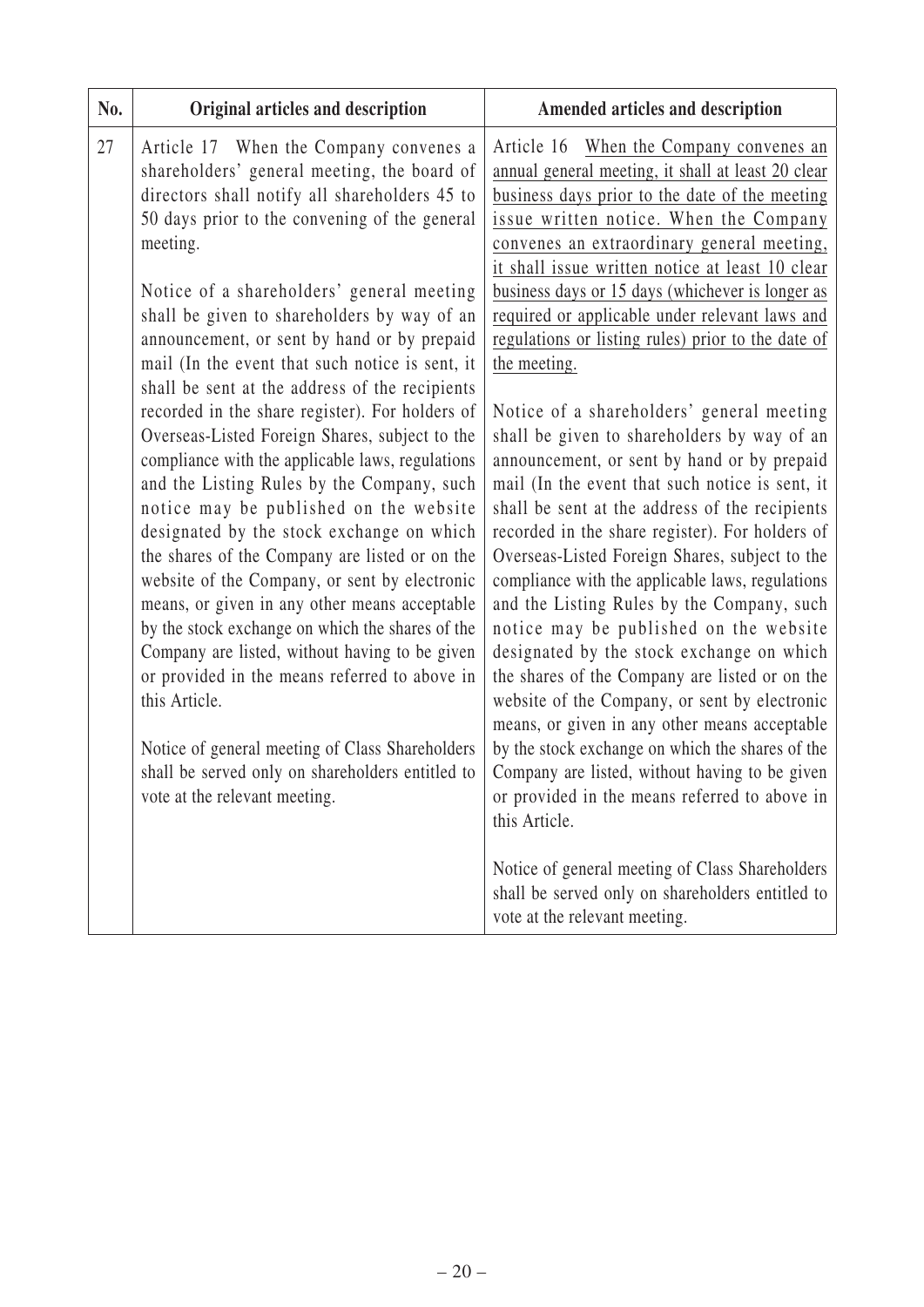| No. | Original articles and description                                                                                                                                                                                                                                                                                                                                                                                                                                                                                                                                                                                                                                                                                                                                                                                                                                                                                                                                                                                                                                                                                                                                                                                     | Amended articles and description                                                                                                                                                                                                                                                                                                                                                                                                                                                                                                                                                                                                                                                                                                                                                                                                                                                                                                                                                                                                                                                                                                                                                                                                                                                                                                                                                                                                                                                         |
|-----|-----------------------------------------------------------------------------------------------------------------------------------------------------------------------------------------------------------------------------------------------------------------------------------------------------------------------------------------------------------------------------------------------------------------------------------------------------------------------------------------------------------------------------------------------------------------------------------------------------------------------------------------------------------------------------------------------------------------------------------------------------------------------------------------------------------------------------------------------------------------------------------------------------------------------------------------------------------------------------------------------------------------------------------------------------------------------------------------------------------------------------------------------------------------------------------------------------------------------|------------------------------------------------------------------------------------------------------------------------------------------------------------------------------------------------------------------------------------------------------------------------------------------------------------------------------------------------------------------------------------------------------------------------------------------------------------------------------------------------------------------------------------------------------------------------------------------------------------------------------------------------------------------------------------------------------------------------------------------------------------------------------------------------------------------------------------------------------------------------------------------------------------------------------------------------------------------------------------------------------------------------------------------------------------------------------------------------------------------------------------------------------------------------------------------------------------------------------------------------------------------------------------------------------------------------------------------------------------------------------------------------------------------------------------------------------------------------------------------|
| 27  | Article 17 When the Company convenes a<br>shareholders' general meeting, the board of<br>directors shall notify all shareholders 45 to<br>50 days prior to the convening of the general<br>meeting.<br>Notice of a shareholders' general meeting<br>shall be given to shareholders by way of an<br>announcement, or sent by hand or by prepaid<br>mail (In the event that such notice is sent, it<br>shall be sent at the address of the recipients<br>recorded in the share register). For holders of<br>Overseas-Listed Foreign Shares, subject to the<br>compliance with the applicable laws, regulations<br>and the Listing Rules by the Company, such<br>notice may be published on the website<br>designated by the stock exchange on which<br>the shares of the Company are listed or on the<br>website of the Company, or sent by electronic<br>means, or given in any other means acceptable<br>by the stock exchange on which the shares of the<br>Company are listed, without having to be given<br>or provided in the means referred to above in<br>this Article.<br>Notice of general meeting of Class Shareholders<br>shall be served only on shareholders entitled to<br>vote at the relevant meeting. | Article 16 When the Company convenes an<br>annual general meeting, it shall at least 20 clear<br>business days prior to the date of the meeting<br>issue written notice. When the Company<br>convenes an extraordinary general meeting,<br>it shall issue written notice at least 10 clear<br>business days or 15 days (whichever is longer as<br>required or applicable under relevant laws and<br>regulations or listing rules) prior to the date of<br>the meeting.<br>Notice of a shareholders' general meeting<br>shall be given to shareholders by way of an<br>announcement, or sent by hand or by prepaid<br>mail (In the event that such notice is sent, it<br>shall be sent at the address of the recipients<br>recorded in the share register). For holders of<br>Overseas-Listed Foreign Shares, subject to the<br>compliance with the applicable laws, regulations<br>and the Listing Rules by the Company, such<br>notice may be published on the website<br>designated by the stock exchange on which<br>the shares of the Company are listed or on the<br>website of the Company, or sent by electronic<br>means, or given in any other means acceptable<br>by the stock exchange on which the shares of the<br>Company are listed, without having to be given<br>or provided in the means referred to above in<br>this Article.<br>Notice of general meeting of Class Shareholders<br>shall be served only on shareholders entitled to<br>vote at the relevant meeting. |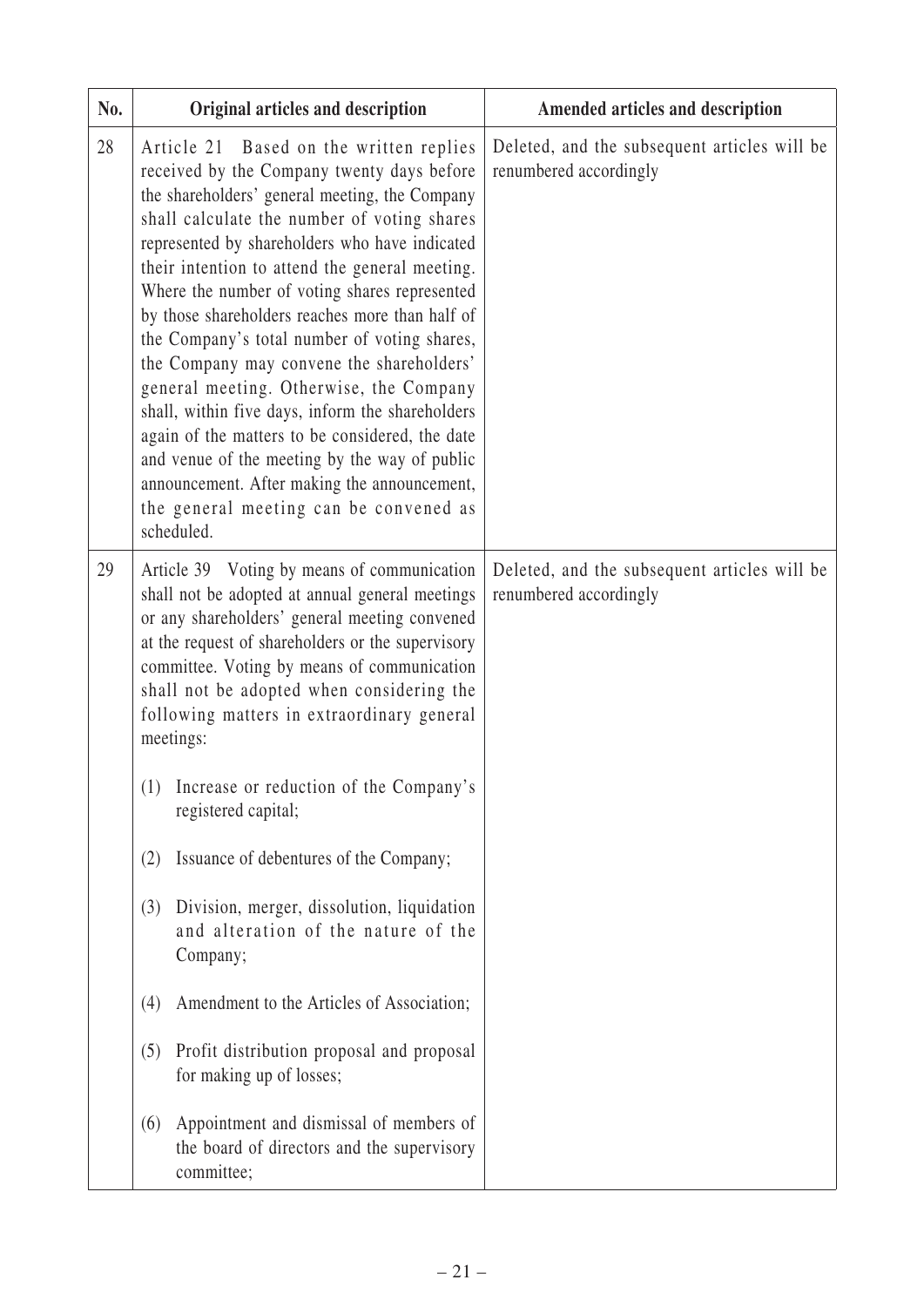| No. | Original articles and description                                                                                                                                                                                                                                                                                                                                                                                                                                                                                                                                                                                                                                                                                                                                                                      | Amended articles and description                                       |
|-----|--------------------------------------------------------------------------------------------------------------------------------------------------------------------------------------------------------------------------------------------------------------------------------------------------------------------------------------------------------------------------------------------------------------------------------------------------------------------------------------------------------------------------------------------------------------------------------------------------------------------------------------------------------------------------------------------------------------------------------------------------------------------------------------------------------|------------------------------------------------------------------------|
| 28  | Article 21 Based on the written replies<br>received by the Company twenty days before<br>the shareholders' general meeting, the Company<br>shall calculate the number of voting shares<br>represented by shareholders who have indicated<br>their intention to attend the general meeting.<br>Where the number of voting shares represented<br>by those shareholders reaches more than half of<br>the Company's total number of voting shares,<br>the Company may convene the shareholders'<br>general meeting. Otherwise, the Company<br>shall, within five days, inform the shareholders<br>again of the matters to be considered, the date<br>and venue of the meeting by the way of public<br>announcement. After making the announcement,<br>the general meeting can be convened as<br>scheduled. | Deleted, and the subsequent articles will be<br>renumbered accordingly |
| 29  | Article 39 Voting by means of communication<br>shall not be adopted at annual general meetings<br>or any shareholders' general meeting convened<br>at the request of shareholders or the supervisory<br>committee. Voting by means of communication<br>shall not be adopted when considering the<br>following matters in extraordinary general<br>meetings:                                                                                                                                                                                                                                                                                                                                                                                                                                            | Deleted, and the subsequent articles will be<br>renumbered accordingly |
|     | (1) Increase or reduction of the Company's<br>registered capital;                                                                                                                                                                                                                                                                                                                                                                                                                                                                                                                                                                                                                                                                                                                                      |                                                                        |
|     | Issuance of debentures of the Company;<br>(2)                                                                                                                                                                                                                                                                                                                                                                                                                                                                                                                                                                                                                                                                                                                                                          |                                                                        |
|     | Division, merger, dissolution, liquidation<br>(3)<br>and alteration of the nature of the<br>Company;                                                                                                                                                                                                                                                                                                                                                                                                                                                                                                                                                                                                                                                                                                   |                                                                        |
|     | Amendment to the Articles of Association;<br>(4)                                                                                                                                                                                                                                                                                                                                                                                                                                                                                                                                                                                                                                                                                                                                                       |                                                                        |
|     | Profit distribution proposal and proposal<br>(5)<br>for making up of losses;                                                                                                                                                                                                                                                                                                                                                                                                                                                                                                                                                                                                                                                                                                                           |                                                                        |
|     | Appointment and dismissal of members of<br>(6)<br>the board of directors and the supervisory<br>committee;                                                                                                                                                                                                                                                                                                                                                                                                                                                                                                                                                                                                                                                                                             |                                                                        |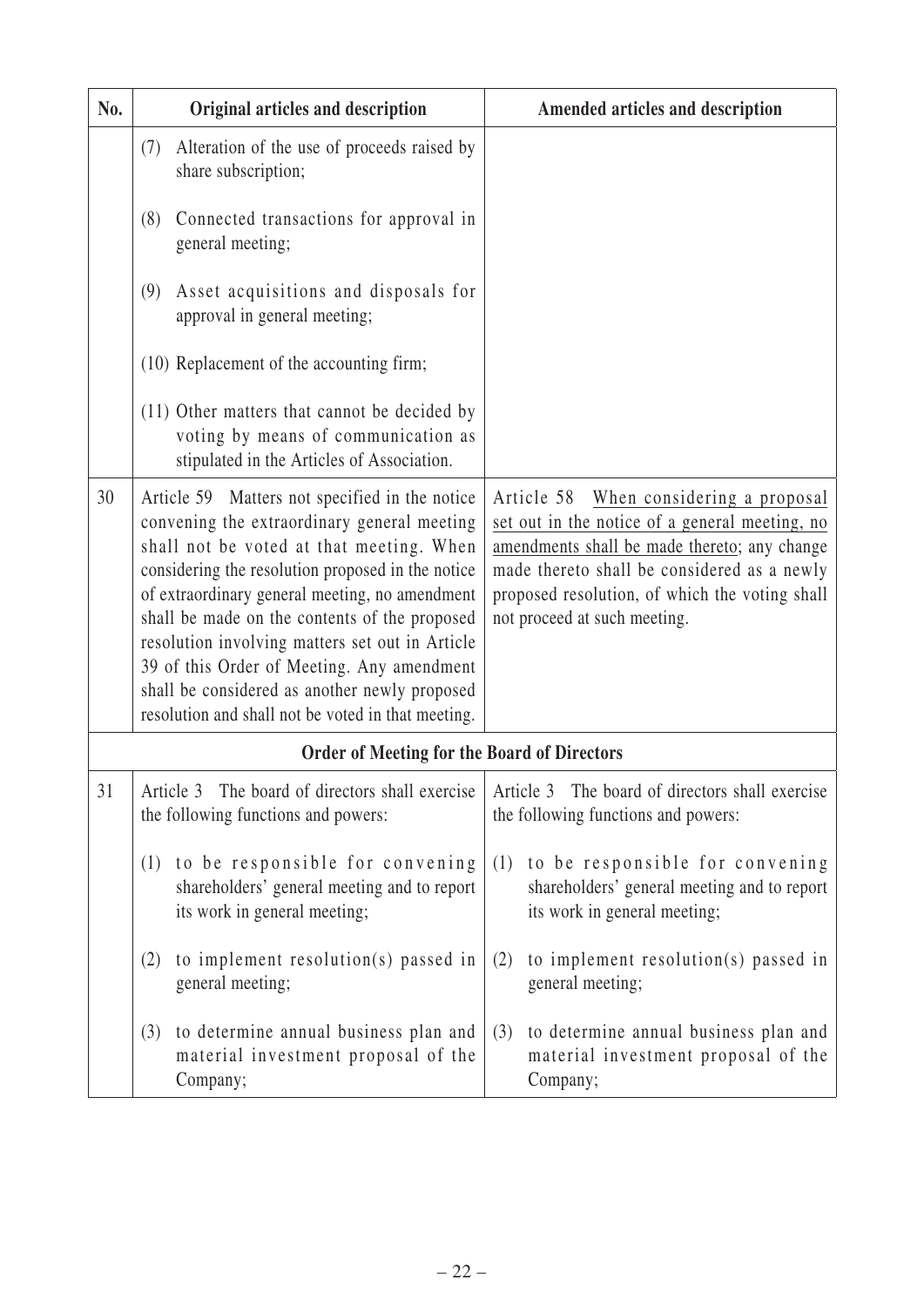| No. | Original articles and description                                                                                                                                                                                                                                                                                                                                                                                                                                                                         | Amended articles and description                                                                                                                                                                                                                                             |
|-----|-----------------------------------------------------------------------------------------------------------------------------------------------------------------------------------------------------------------------------------------------------------------------------------------------------------------------------------------------------------------------------------------------------------------------------------------------------------------------------------------------------------|------------------------------------------------------------------------------------------------------------------------------------------------------------------------------------------------------------------------------------------------------------------------------|
|     | Alteration of the use of proceeds raised by<br>(7)<br>share subscription;                                                                                                                                                                                                                                                                                                                                                                                                                                 |                                                                                                                                                                                                                                                                              |
|     | Connected transactions for approval in<br>(8)<br>general meeting;                                                                                                                                                                                                                                                                                                                                                                                                                                         |                                                                                                                                                                                                                                                                              |
|     | Asset acquisitions and disposals for<br>(9)<br>approval in general meeting;                                                                                                                                                                                                                                                                                                                                                                                                                               |                                                                                                                                                                                                                                                                              |
|     | (10) Replacement of the accounting firm;                                                                                                                                                                                                                                                                                                                                                                                                                                                                  |                                                                                                                                                                                                                                                                              |
|     | (11) Other matters that cannot be decided by<br>voting by means of communication as<br>stipulated in the Articles of Association.                                                                                                                                                                                                                                                                                                                                                                         |                                                                                                                                                                                                                                                                              |
| 30  | Article 59 Matters not specified in the notice<br>convening the extraordinary general meeting<br>shall not be voted at that meeting. When<br>considering the resolution proposed in the notice<br>of extraordinary general meeting, no amendment<br>shall be made on the contents of the proposed<br>resolution involving matters set out in Article<br>39 of this Order of Meeting. Any amendment<br>shall be considered as another newly proposed<br>resolution and shall not be voted in that meeting. | Article 58<br>When considering a proposal<br>set out in the notice of a general meeting, no<br>amendments shall be made thereto; any change<br>made thereto shall be considered as a newly<br>proposed resolution, of which the voting shall<br>not proceed at such meeting. |
|     | <b>Order of Meeting for the Board of Directors</b>                                                                                                                                                                                                                                                                                                                                                                                                                                                        |                                                                                                                                                                                                                                                                              |
| 31  | Article 3 The board of directors shall exercise<br>the following functions and powers:                                                                                                                                                                                                                                                                                                                                                                                                                    | Article 3 The board of directors shall exercise<br>the following functions and powers:                                                                                                                                                                                       |
|     | to be responsible for convening<br>(1)<br>shareholders' general meeting and to report<br>its work in general meeting;                                                                                                                                                                                                                                                                                                                                                                                     | to be responsible for convening<br>(1)<br>shareholders' general meeting and to report<br>its work in general meeting;                                                                                                                                                        |
|     | to implement resolution(s) passed in<br>(2)<br>general meeting;                                                                                                                                                                                                                                                                                                                                                                                                                                           | to implement resolution(s) passed in<br>(2)<br>general meeting;                                                                                                                                                                                                              |
|     | to determine annual business plan and<br>(3)<br>material investment proposal of the<br>Company;                                                                                                                                                                                                                                                                                                                                                                                                           | to determine annual business plan and<br>(3)<br>material investment proposal of the<br>Company;                                                                                                                                                                              |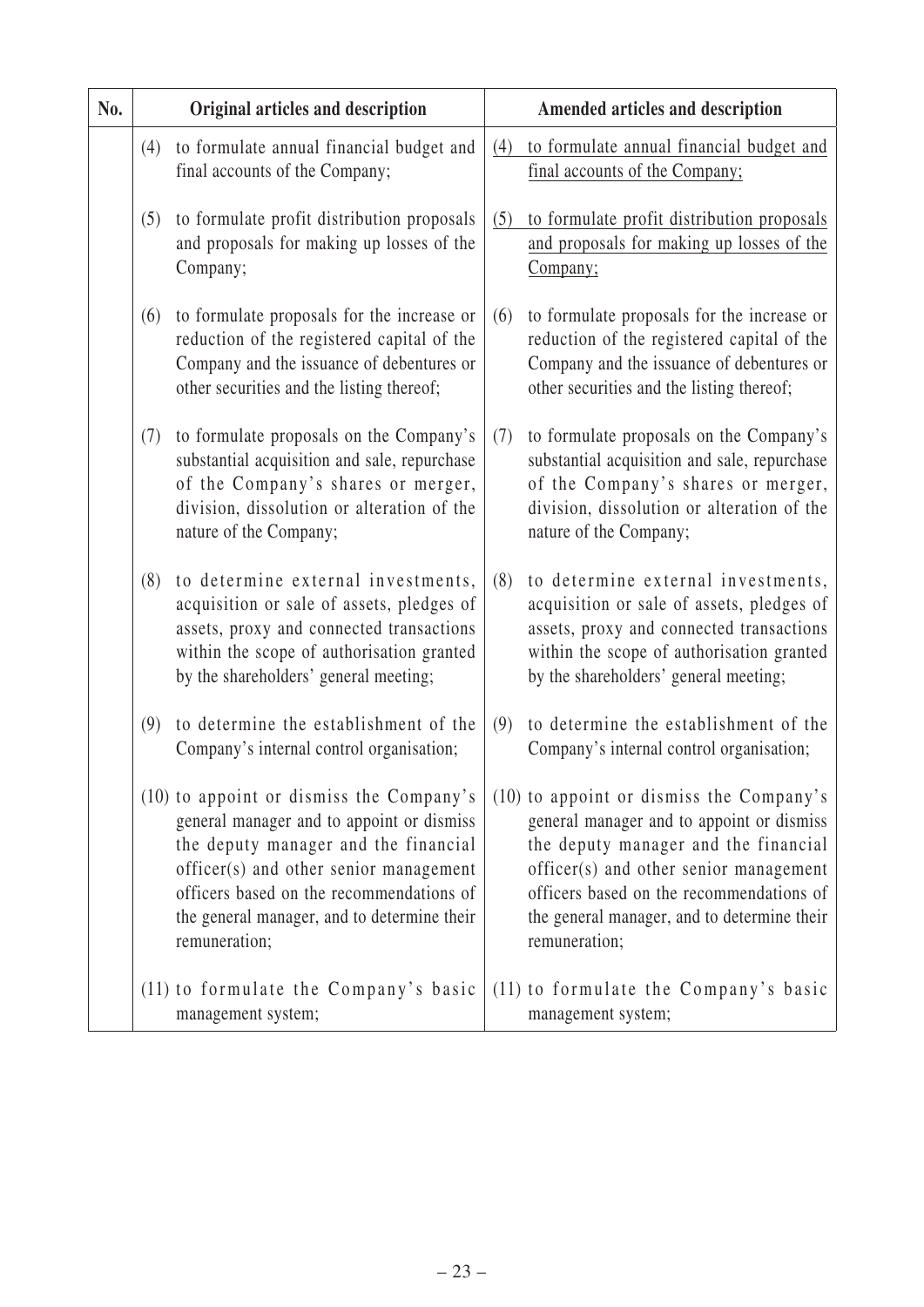| No. |     | Original articles and description                                                                                                                                                                                                                                                   |     | Amended articles and description                                                                                                                                                                                                                                                    |
|-----|-----|-------------------------------------------------------------------------------------------------------------------------------------------------------------------------------------------------------------------------------------------------------------------------------------|-----|-------------------------------------------------------------------------------------------------------------------------------------------------------------------------------------------------------------------------------------------------------------------------------------|
|     |     | (4) to formulate annual financial budget and<br>final accounts of the Company;                                                                                                                                                                                                      | (4) | to formulate annual financial budget and<br>final accounts of the Company;                                                                                                                                                                                                          |
|     | (5) | to formulate profit distribution proposals<br>and proposals for making up losses of the<br>Company;                                                                                                                                                                                 | (5) | to formulate profit distribution proposals<br>and proposals for making up losses of the<br>Company;                                                                                                                                                                                 |
|     | (6) | to formulate proposals for the increase or<br>reduction of the registered capital of the<br>Company and the issuance of debentures or<br>other securities and the listing thereof;                                                                                                  | (6) | to formulate proposals for the increase or<br>reduction of the registered capital of the<br>Company and the issuance of debentures or<br>other securities and the listing thereof;                                                                                                  |
|     | (7) | to formulate proposals on the Company's<br>substantial acquisition and sale, repurchase<br>of the Company's shares or merger,<br>division, dissolution or alteration of the<br>nature of the Company;                                                                               | (7) | to formulate proposals on the Company's<br>substantial acquisition and sale, repurchase<br>of the Company's shares or merger,<br>division, dissolution or alteration of the<br>nature of the Company;                                                                               |
|     | (8) | to determine external investments,<br>acquisition or sale of assets, pledges of<br>assets, proxy and connected transactions<br>within the scope of authorisation granted<br>by the shareholders' general meeting;                                                                   | (8) | to determine external investments,<br>acquisition or sale of assets, pledges of<br>assets, proxy and connected transactions<br>within the scope of authorisation granted<br>by the shareholders' general meeting;                                                                   |
|     | (9) | to determine the establishment of the<br>Company's internal control organisation;                                                                                                                                                                                                   | (9) | to determine the establishment of the<br>Company's internal control organisation;                                                                                                                                                                                                   |
|     |     | (10) to appoint or dismiss the Company's<br>general manager and to appoint or dismiss<br>the deputy manager and the financial<br>officer(s) and other senior management<br>officers based on the recommendations of<br>the general manager, and to determine their<br>remuneration; |     | (10) to appoint or dismiss the Company's<br>general manager and to appoint or dismiss<br>the deputy manager and the financial<br>officer(s) and other senior management<br>officers based on the recommendations of<br>the general manager, and to determine their<br>remuneration; |
|     |     | (11) to formulate the Company's basic<br>management system;                                                                                                                                                                                                                         |     | (11) to formulate the Company's basic<br>management system;                                                                                                                                                                                                                         |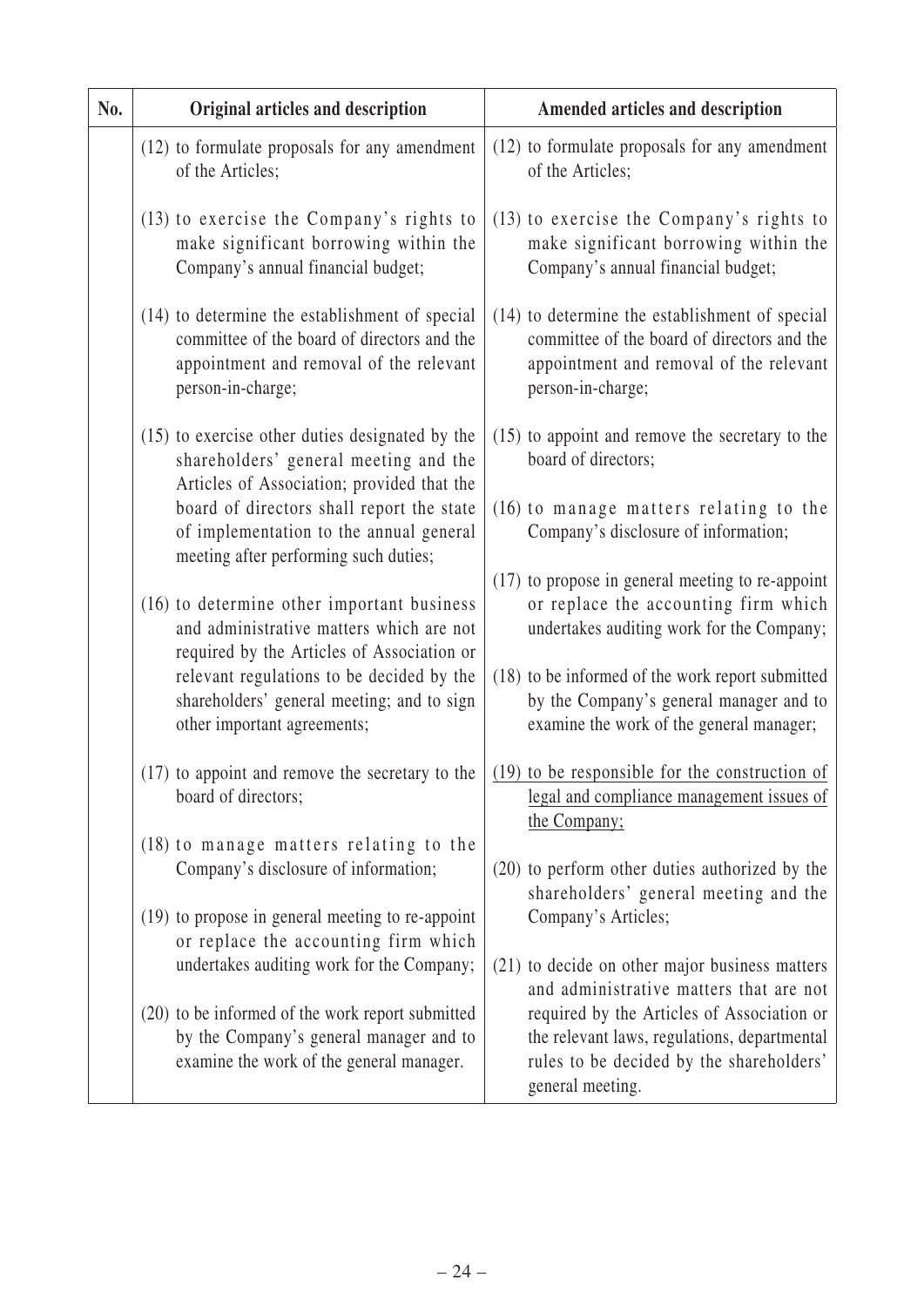| No. | Original articles and description                                                                                                                             | Amended articles and description                                                                                                                              |
|-----|---------------------------------------------------------------------------------------------------------------------------------------------------------------|---------------------------------------------------------------------------------------------------------------------------------------------------------------|
|     | (12) to formulate proposals for any amendment<br>of the Articles;                                                                                             | (12) to formulate proposals for any amendment<br>of the Articles;                                                                                             |
|     | (13) to exercise the Company's rights to<br>make significant borrowing within the<br>Company's annual financial budget;                                       | (13) to exercise the Company's rights to<br>make significant borrowing within the<br>Company's annual financial budget;                                       |
|     | (14) to determine the establishment of special<br>committee of the board of directors and the<br>appointment and removal of the relevant<br>person-in-charge; | (14) to determine the establishment of special<br>committee of the board of directors and the<br>appointment and removal of the relevant<br>person-in-charge; |
|     | (15) to exercise other duties designated by the<br>shareholders' general meeting and the<br>Articles of Association; provided that the                        | $(15)$ to appoint and remove the secretary to the<br>board of directors;                                                                                      |
|     | board of directors shall report the state<br>of implementation to the annual general<br>meeting after performing such duties;                                 | (16) to manage matters relating to the<br>Company's disclosure of information;                                                                                |
|     | (16) to determine other important business<br>and administrative matters which are not                                                                        | (17) to propose in general meeting to re-appoint<br>or replace the accounting firm which<br>undertakes auditing work for the Company;                         |
|     | relevant regulations to be decided by the<br>shareholders' general meeting; and to sign<br>other important agreements;                                        | (18) to be informed of the work report submitted<br>by the Company's general manager and to<br>examine the work of the general manager;                       |
|     | (17) to appoint and remove the secretary to the<br>board of directors;                                                                                        | $(19)$ to be responsible for the construction of<br>legal and compliance management issues of                                                                 |
|     | (18) to manage matters relating to the<br>Company's disclosure of information;                                                                                | (20) to perform other duties authorized by the<br>shareholders' general meeting and the                                                                       |
|     | (19) to propose in general meeting to re-appoint                                                                                                              | Company's Articles;                                                                                                                                           |
|     | undertakes auditing work for the Company;                                                                                                                     | (21) to decide on other major business matters<br>and administrative matters that are not                                                                     |
|     | (20) to be informed of the work report submitted<br>by the Company's general manager and to<br>examine the work of the general manager.                       | required by the Articles of Association or<br>the relevant laws, regulations, departmental<br>rules to be decided by the shareholders'<br>general meeting.    |
|     | required by the Articles of Association or<br>or replace the accounting firm which                                                                            | the Company;                                                                                                                                                  |